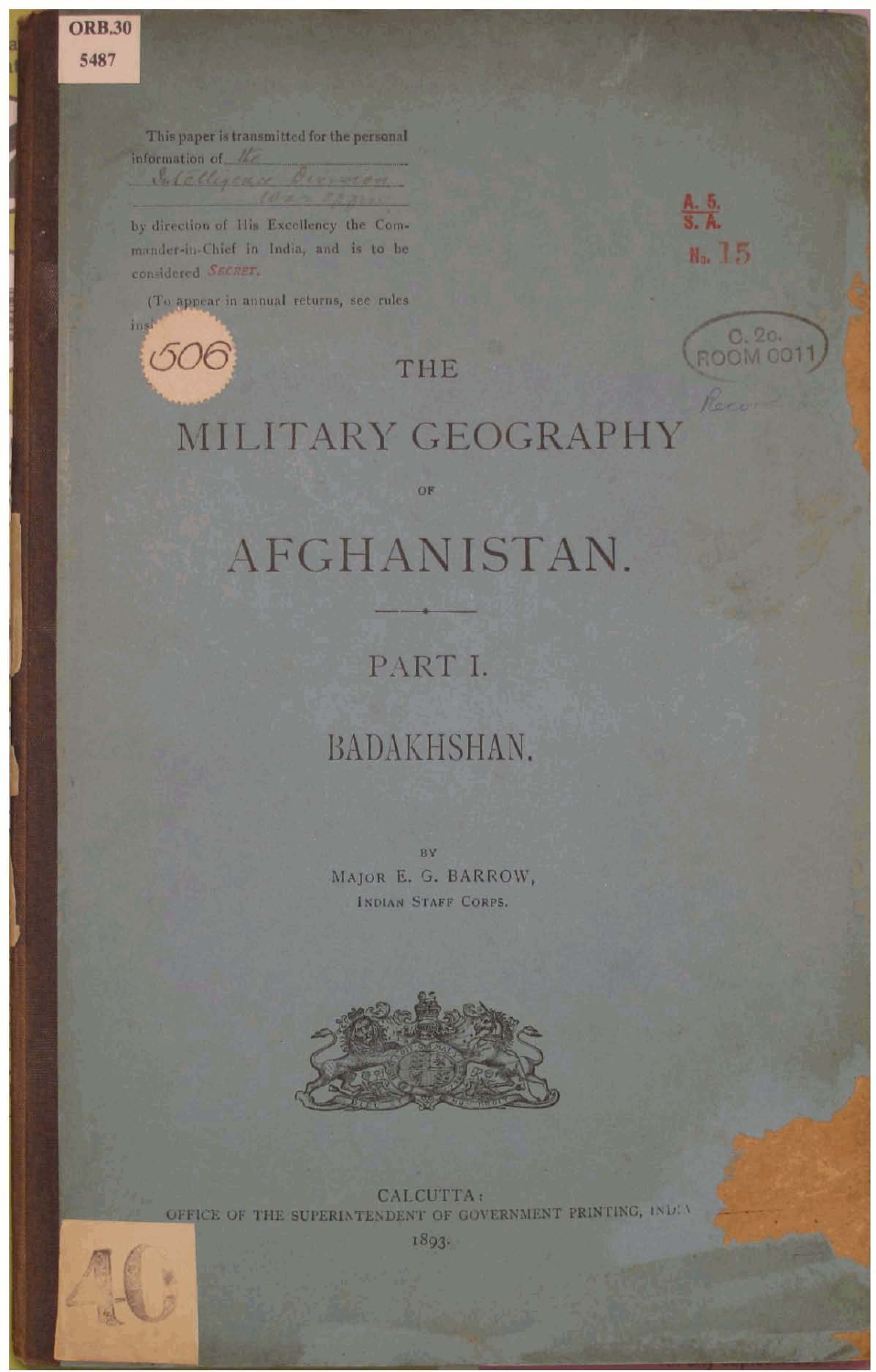This paper is transmitted for the personal information of the

by direction of His Excellency the Commander-in-Chief in India, and is to be considered SECRET.

(To appear in annual returns, see rules)

606



C. 20.<br>ROOM 0011

THE

# MILITARY GEOGRAPHY

# AFGHANISTAN.

### PART I.

## BADAKHSHAN.

MAJOR E. G. BARROW, INDIAN STAFF CORPS.



CALCUTTA: OFFICE OF THE SUPERIATENDENT OF GOVERNMENT PRINTING, INDIV



1893-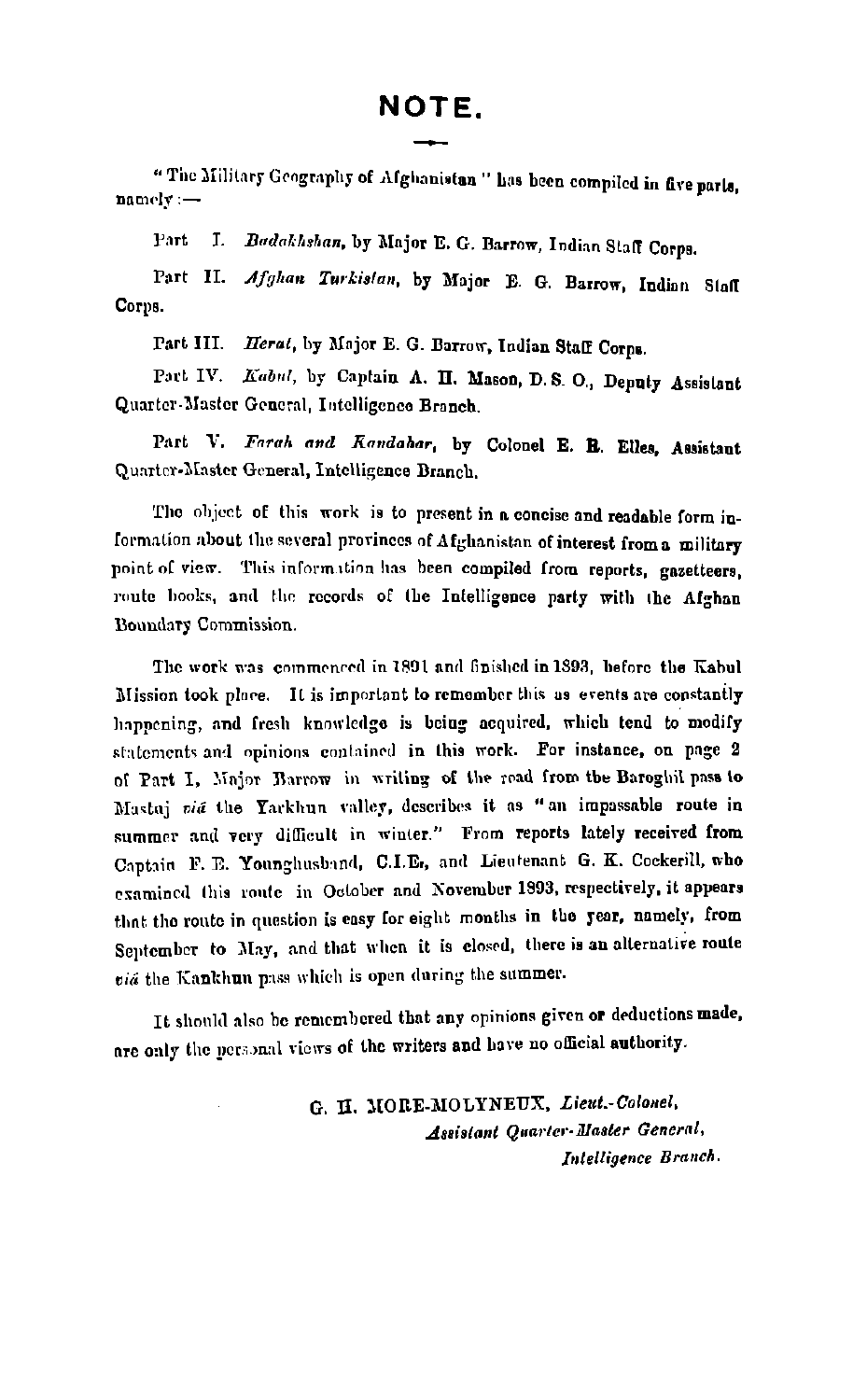"The Military Geography of Afghanistan" has been compiled in five parts.  $namely :=$ 

Part I. Badakhshan, by Major E. G. Barrow, Indian Staff Corps.

Part II. Afghan Turkistan, by Major E. G. Barrow, Indian Staff Corps.

Part III. Herat, by Major E. G. Barrow, Indian Staff Corps.

Part IV. Kabul, by Captain A. H. Mason, D.S. O., Denuty Assistant Quarter-Master General, Intelligence Branch.

Part V. Farah and Kandahar, by Colonel E. B. Elles, Assistant Quarter-Master General, Intelligence Branch.

The object of this work is to present in a concise and readable form information about the several provinces of Afghanistan of interest from a military noint of view. This information has been compiled from reports, gazetteers, route books, and the records of the Intelligence party with the Afghan Boundary Commission.

The work was commenced in 1891 and finished in 1893, before the Kabul Mission took place. It is important to remember this as events are constantly happening, and fresh knowledge is being acquired, which tend to modify statements and opinions contained in this work. For instance, on page 2 of Part I. Major Barrow in writing of the road from the Baroghil pass to Mastai vid the Yarkhun valley, describes it as "an impossable route in summer and very difficult in winter." From reports lately received from Captain F. E. Younghusband, C.I.E., and Lieutenant G. K. Cockerill, who examined this route in October and November 1993, respectively, it appears that the route in question is easy for eight months in the year, namely, from September to May, and that when it is closed, there is an alternative route via the Kankhun pass which is open during the summer.

It should also be remembered that any opinions given or deductions made, are only the personal views of the writers and have no official authority.

> G. H. MORE-MOLYNEUX, Lieut.-Colonel, Assistant Quarter-Master General. Intelligence Branch.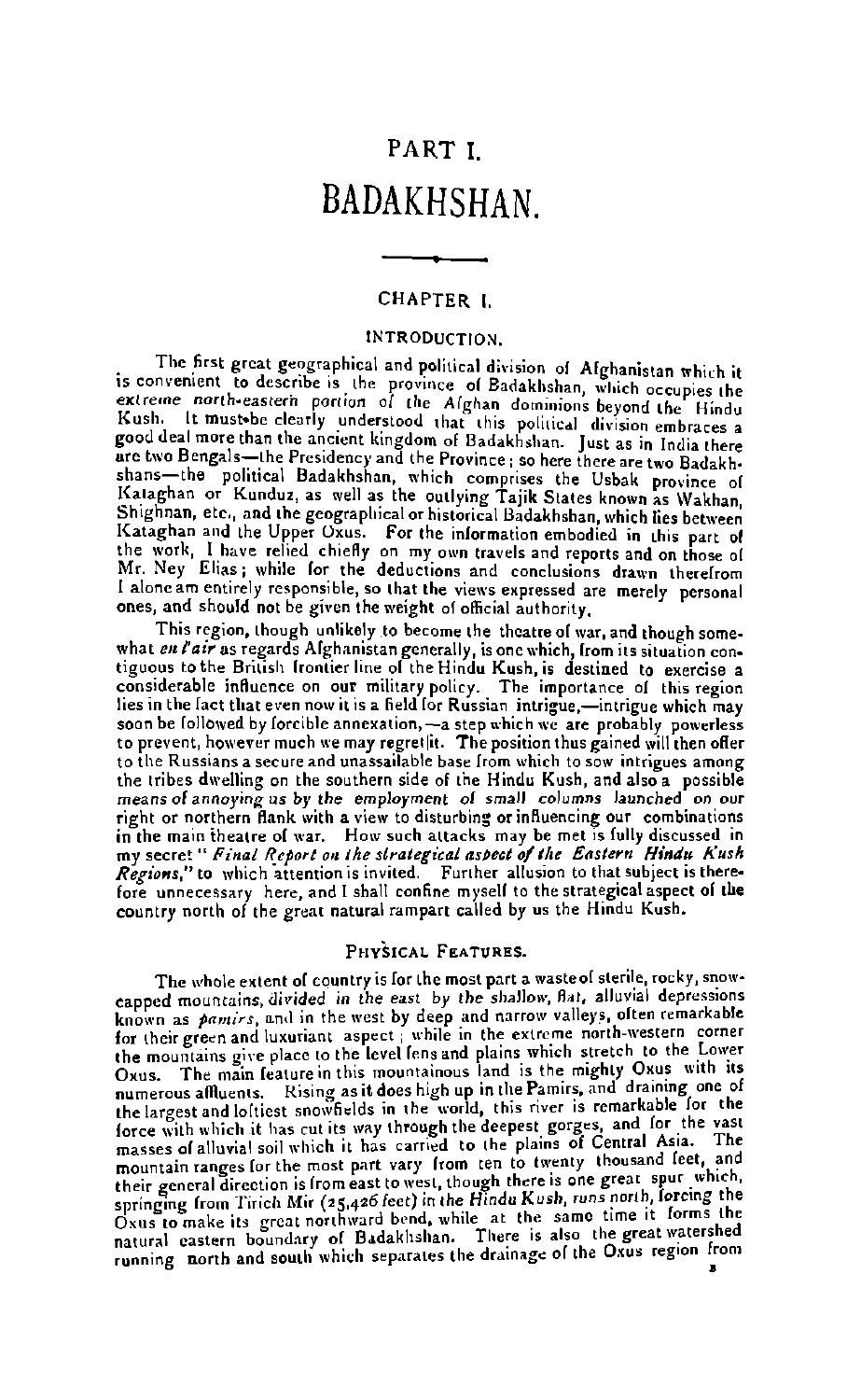### PART I *RADAKHSHAN*

#### CHAPTER I

#### INTRODUCTION.

The first great geographical and political division of Afghanistan which it is convenient to describe is the province of Badakhshan, which occupies the extreme north-eastern portion of the Afghan dominions beyond the Hindu Kush. It must be clearly understood that this political division embraces a good deal more than the ancient kingdom of Badakhshan. Just as in India there groot can use the Presidency and the Province is the two metals are two Bengals-the Presidency and the Province; so there there are two Badakh-<br>shans-the political Badakhshan, which comprises the Usbak province of<br>Kataghan Shighnan, etc., and the geographical or historical Badakhshan, which lies between Kataghan and the Upper Oxus. For the information embodied in this part of the work, I have relied chiefly on my own travels and reports and on those of Mr. Ney Elias: while for the deductions and conclusions drawn therefrom I alone am entirely responsible, so that the views expressed are merely personal ones, and should not be given the weight of official authority.

This region, though unlikely to become the theatre of war, and though somewhat en l'air as regards Alghanistan generally, is one which, from its situation contiguous to the British frontier line of the Hindu Kush, is destined to exercise a considerable influence on our military policy. The importance of this region lies in the lact that even now it is a field for Russian intrigue.-intrigue which may soon be followed by forcible annexation, -- a step which we are probably powerless to prevent, however much we may regret|it. The position thus gained will then offer to the Russians a secure and unassailable hase from which to sow intrigues among the tribes dwelling on the southern side of the Hindu Kush, and also a possible means of annoying us by the employment of small columns launched on our right or northern flank with a view to disturbing or influencing our combinations in the main theatre of war. How such attacks may be met is fully discussed in my secret " Final Report on the strategical aspect of the Eastern Hindu Kush Regions," to which attention is invited. Further allusion to that subject is therefore unnecessary here, and I shall confine myself to the strategical aspect of the country north of the great natural rampart called by us the Hindu Kush.

#### PHYSICAL FRATURES.

The whole extent of country is for the most part a waste of sterile, rocky, snowcapped mountains divided in the east by the shallow, flat, alluvial depressions known as *pamirs*, and in the west by deep and narrow valleys, often remarkable<br>for their green and luxuriant aspect; while in the extreme north-western corner the mountains give place to the level fens and plains which stretch to the Lower Oxus. The main feature in this mountainous land is the mighty Oxus with its numerous affluents. Rising as it does high up in the Pamirs, and draining one of the largest and loftiest snowfields in the world, this river is remarkable for the force with which it has cut its way through the deepest gorges, and for the vast masses of alluvial soil which it has carried to the plains of Central Asia. The mountain ranges for the most part vary from ten to twenty thousand feet, and their general direction is from east to west, though there is one great sput which, springing from Tirich Mir (25,426 feet) in the Hindu Kush, runs north, forcing the Oxus to make its great northward bend, while at the same time it forms the natural castern boundary of Badakhshan. There is also the great watershed running north and south which separates the drainage of the Oxus region from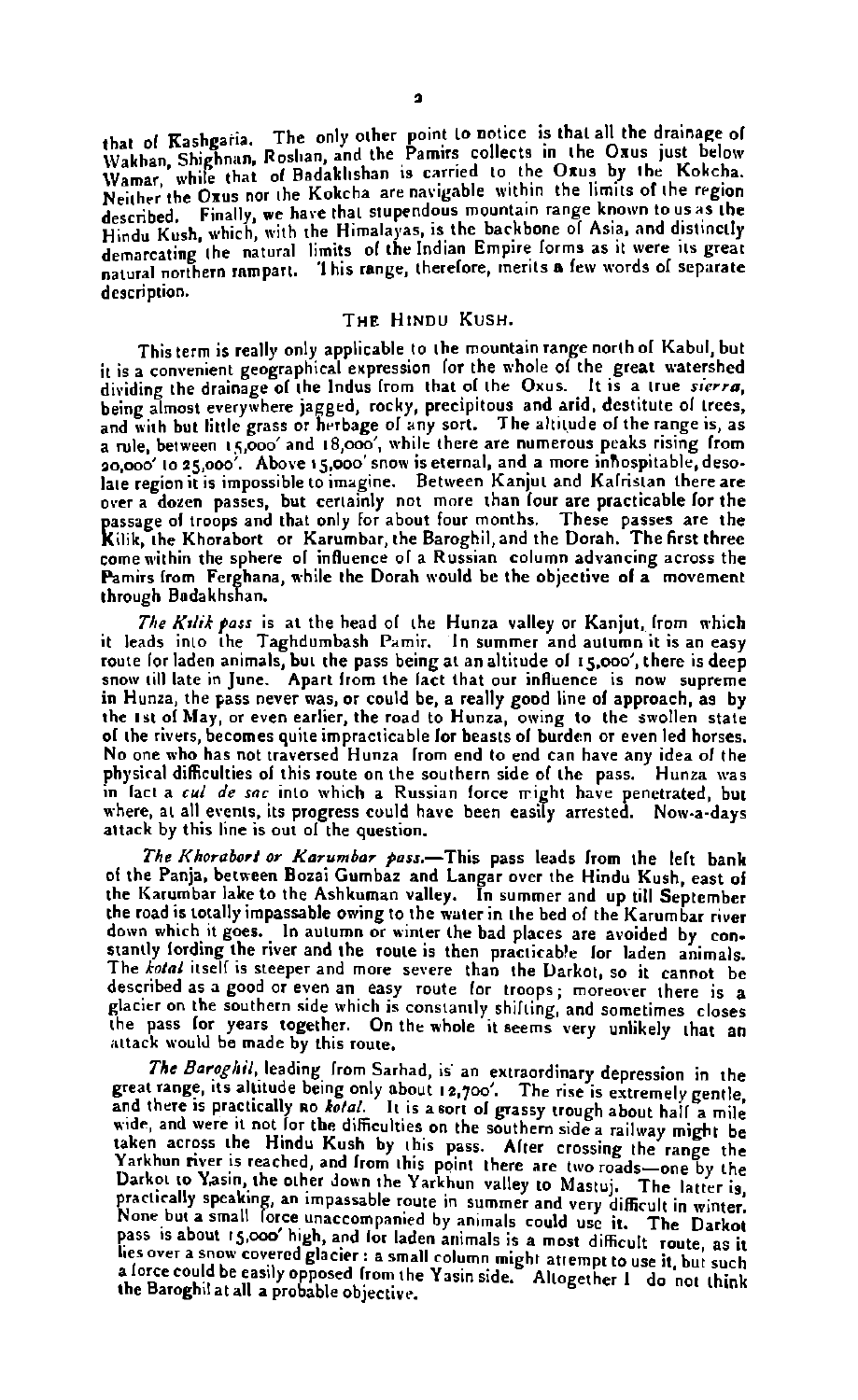that of Kashgaria. The only other point to notice is that all the drainage of<br>Wakhan, Shighnan, Roshan, and the Pamirs collects in the Oxus just below I wanted, outgoining trouvers were a summer convenient of the Orus by the Kokcha.<br>Wamar, while that of Badaklishan is carried to the Orus by the Kokcha. described. Finally, we have that stupendous mountain range known to us as the described. Finally, we have that stupendous mountain range known to us as the<br>Hindu Kush, which, with the Himalayas, is the backbone of Asia, and distinctly demarcating the natural limits 01 the Indian Empire lorms as it were its great natural northern rnmparl. 'I his range. therelore, merits e Irw words ol separate description.

#### Tue Hiwnu Kush.

This term is really only applicable to the mountain range north of Kabul, but it is a convenient geographical expression lor the whole of the great watershed<br>dividing the drainage of the Indus from that of the Oxus. It is a true *sierra,*<br>being almost everywhere jagged, rocky, precipitous and arid, and with but little grass or herbage of any sort. The altitude of the range is, as a rule, between 15,000' and 18,000', while there are numerous peaks rising from<br>20,000' to 25,000'. Above t5,000' snow is eternal, and a more inhospitable, desolate region it is impossible to imagine. Between Kanjut and Kalristan there are over a dozen passes, but certainly not more than four are practicable for the<br>passage of troops and that only for about four months. These passes are the Kilik, the Khorabort or Karumbar, the Baroghil, and the Dorah. The first three come within the sphere of influence of a Russian column advancing across the **Pamirs from Ferghana, while the Dorah would be the objective of a movement** through Badakhshan.

The Kulik pass is at the head of the Hunza valley or Kanjut, from which it leads into the Taghdumbash Pamir. In summer and autumn it is an easy route for laden animals, but the pass being at an altitude of  $15,000'$ , there is deep snow till late in June. Apart from the fact that our influence is now supreme **in** Hunza, the pass never was, **or** could be, a really good line 01 approach, as by the 1st 01 May, **or** even earlier, the road to Hunza, owing to the swollen state 01 the rivers, becomes quite impracticable lor beasts 01 burdrn **or** even led horses. No one who has not traversed Hunza lrom end to end can have any idea 01 the physical difficulties of this route on the southern side of the pass. Hunza was in lact a *cul de sac* into which a Russian force might have penetrated, but where, at all events, its progress could have been easily arrested. Now-a-days attack by this line is out of the question.

The Khorabort or Karumbar pass.-This pass leads from the left bank of the Panja, between Bozai Gumbaz and Langar over the Hindu Kush, east of the Karumbar lake to the Ashkuman valley. In summer and up till September the road is totally impasrable owing to the water in the bed 01 the Karumbar river down which it goes. In autumn or winter the bad places **are** avoided by **con.**  stantly lording the river and the route is then practicable lor laden animals. The *tofnl* itsell is steeper and mare **severe** than the Uarkot, so it cannot be described as a good or even an easy route for troops; moreover there is a glacier on the southern side which is constantly shilting:and sometimes closes the pass lor years together. On the whole it seems very unlikely that an attack would be made by this route.

The *Baroghil*, leading from Sarhad, is an extraordinary depression in the great range, its altitude being only about 12,700'. The rise is extremely gentle. and there is practically no kolal. It is a sort of grassy trough about half a mile<br>wide, and were it not for the difficulties on the southern side a railway might be taken across the Hindu Kush by this pass. Alter crossing the range the Yarkhun river is reached, and Irom this point there are two roads-one by the Taking the other down that puts there are two roads-one of the later is<br>parkot to Yasin, the other down the Yarkhun valley to Mastuj. The later is<br>practically speaking, an impassable route in summer and very difficult in w pass is about **t5.000'** high, and for laden animals is a most difficult route, as it lies over a snow covered glacier : a small column might attempt to use it, but such<br>a lorce could be easily opposed from the Yasin side. Altogether I do not think<br>the Baroghil at all a probable objective.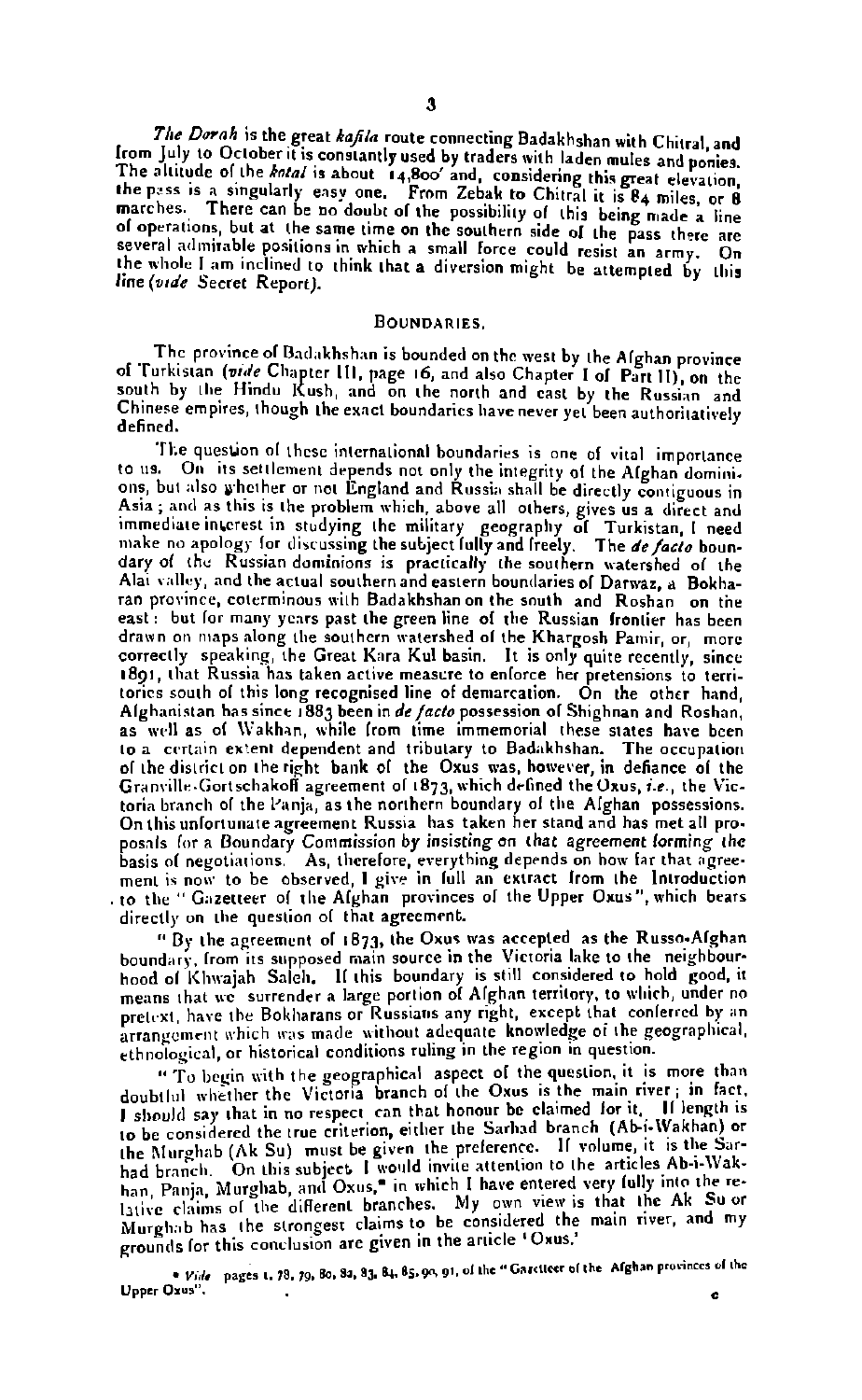The Dorah is the great kafila route connecting Badakhshan with Chitral, and from July to October it is constantly used by traders with laden mules and nonies. The altitude of the kotal is about 14,800' and, considering this great elevation. the pass is a singularly easy one. From Zebak to Chitral it is 84 miles, or 8 marches. There can be no doubt of the possibility of this being made a line of operations, but at the same time on the southern side of the pass there are several admirable positions in which a small force could resist an army. On the whole I am inclined to think that a diversion might be attempted by this line (vide Secret Report).

#### BOUNDARIES.

The province of Badakhshan is bounded on the west by the Afghan province of Turkistan (vide Chapter III, page 16, and also Chapter I of Part II), on the south by the Hindu Kush, and on the north and east by the Russian and Chinese empires, though the exact boundaries have never yet been authoritatively defined.

The question of these international boundaries is one of vital importance to us. On its settlement depends not only the integrity of the Afghan dominions, but also whether or not England and Russia shall be directly contiguous in Asia; and as this is the problem which, above all others, gives us a direct and immediate interest in studying the military geography of Turkistan, I need make no apology for discussing the subject fully and freely. The de facto boundary of the Russian dominions is practically the southern watershed of the Alai valley, and the actual southern and eastern boundaries of Darwaz, a Bokharan province, coterminous with Badakhshan on the south and Roshan on the east: but for many years past the green line of the Russian frontier has been drawn on maps along the southern watershed of the Khargosh Pamir, or, more correctly speaking, the Great Kara Kul basin. It is only quite recently, since 1891, that Russia has taken active measure to enforce her pretensions to territories south of this long recognised line of demarcation. On the other hand, Alghanistan has since 1883 been in de facto possession of Shighnan and Roshan, as well as of Wakhan, while from time immemorial these states have been to a certain extent dependent and tributary to Badakhshan. The occupation<br>of the district on the right bank of the Oxus was, however, in defiance of the Granville-Gortschakoff agreement of 1873, which defined the Oxus, i.e., the Victoria branch of the Panja, as the northern boundary of the Alghan possessions. On this unfortunate agreement Russia has taken her stand and has met all proposals for a Boundary Commission by insisting on that agreement forming the basis of negotiations. As, therefore, everything depends on how far that agreement is now to be observed, I give in full an extract from the Introduction<br>to the "Gazetteer of the Afghan provinces of the Upper Oxus", which bears directly on the question of that agreement.

"By the agreement of 1873, the Oxus was accepted as the Russo-Afghan boundary, from its supposed main source in the Victoria lake to the neighbourhood of Khwajah Saleh. If this boundary is still considered to hold good, it means that we surrender a large portion of Afghan territory, to which, under no pretext, have the Bokharans or Russians any right, except that conferred by an arrangement which was made without adequate knowledge of the geographical, ethnological, or historical conditions ruling in the region in question.

" To begin with the geographical aspect of the question, it is more than doubtlul whether the Victoria branch of the Oxus is the main river; in fact, I should say that in no respect can that honour be claimed for it. If length is to be considered the true criterion, either the Sarhad branch (Ab-i-Wakhan) or the Murghab (Ak Su) must be given the preference. If volume, it is the Sarhad branch. On this subject I would invite attention to the articles Ab-i-Wak-<br>han, Panja, Murghab, and Oxus," in which I have entered very fully into the relative claims of the different branches. My own view is that the Ak Su or Murghab has the strongest claims to be considered the main river, and my grounds for this conclusion are given in the article 'Oxus,'

. Vide pages 1, 73, 79, 80, 82, 83, 84, 85, 90, 91, of the "Garctteer of the Afghan provinces of the Upper Oxus". ċ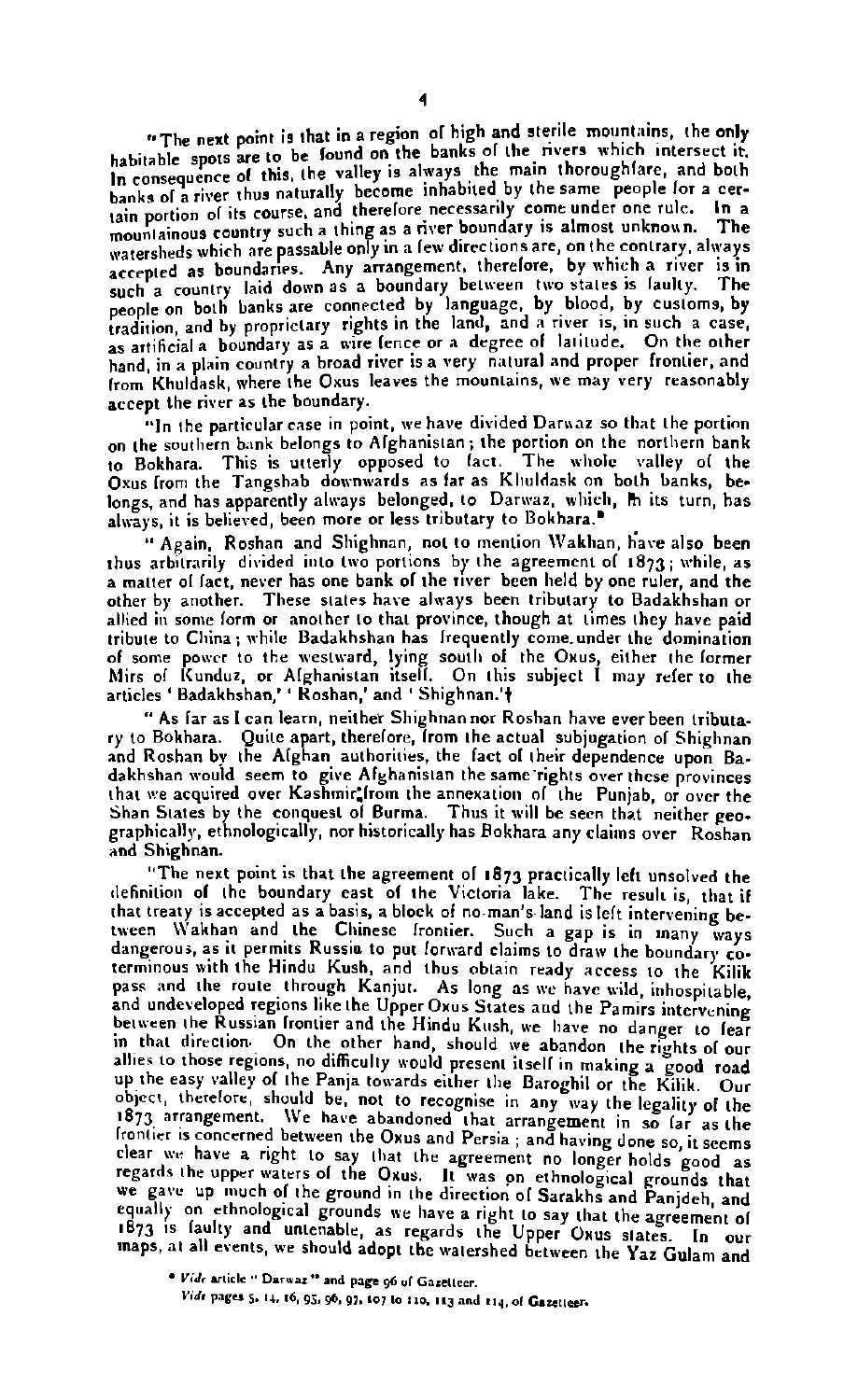"The pext point is that in a region of high and sterile mountains, the only The next point is that it is even to be found on the banks of the rivers which intersect it. In **consequence** of this, the valley is alway. the main thoroughfare, and both banks ol thu3 naturally became inhabited by the same people **far** a cerpanks of a river thus have and therefore necessarily come under one rule. In a<br>tain portion of its course, and therefore a river houndary is almost unknown. The mountainous country such a thing as a **river boundary** is almost unknown. mountainous country sassable only in a few directions are, on the contrary, always watersheep which are passed in the arrangement, therefore, by which a river is in acceptive we country laid down as a boundary between two states is faulty. The people on both banks are connected by language, by blood, by customs, by people on both banks **are** connected by language, by blood, by customs, by tradition and by rights in the land, and **a** river is, in soch a **case, as** artifi2al **n** boundary as a wire fence or **a** degree of latitude. **On** the other hand, in a plain country a broad river is a very natural and proper frontier, and from Khuldask, where the **Oxus** leaves the mountains, **we** may very reasonably accept the **river** as the boundary.

"In the partirularcnre in point. **we** have divided **Dnmaz** so that the portion on the southern b.mk belongs to Alghanistan; the portion on the northern bank to Bokhara. This is utterly opposed to fact. The wholc valley ol the Oxus from the Tangshab downwards as far as Kluidask on both banks, belongs, and has apparently always belonged, to Darwaz, which, in its turn, has always, it is believed, been more or less tributary to Bokhara.<sup>"</sup>

" Again. Rorhan and Shighnan, not to mention \\lakhan, **Gave** also been thus arbitrarily divided into two portions by the agreement ol **1873;** while, **as**  a matter **ol** lact, **never** has **one** bank ol the **rwer** been lheld by **one** ruler, and the other by another. These states have always been tributary to Badakhshan or allied in some form or another to that province, though at times they have paid tribute to China; while Badakhshan has Irequently come under the domination 01 some powr to the \s,est\vard, lying routlb **of** the **Orur,** either the larmer hlirs ol Icunduz, or Alghanirtan itsell. **On** this subject I may **refer** to the articles ' Badakhshan.' ' Koshan,' and ' Shighnan.'t

" As lar **as** I **can** learn, neither Shighnannor Roshan have everbeen tributa. ry to Bokhara. Quite apart, therelorc, lrom the actual subjugation 01 Shighnan and Rorhan bv the Alghan authorities, the fact ol their dependence upon Ba. dakhshan would seem to give Alghanistan the same rights over these provinces that **we** acquired over Kashmir:lrom the annexation ol the Punjab, or over the Shan States by the conquest of Burma. Thus it will be seen that neither peo-<br>graphically, ethnologically, nor historically has Rokhara any claims over *Roshan* and Shiehnan.

"The next point is that the agreement of  $1873$  practically left unsolved the definition of the boundary east of the Victoria lake. The result is, that if that treaty is accepted as a basis, a block of no-man's land is left intervening between Wakhan and the Chinese Irontier. Such a gap is in many ways dangerous, as it permits Russia to put forward claims to draw the boundary cotermlnous with the Hindu Kush, and thus obtain ready **access** to the Kilik and undeveloped regions like the Upper Oxus States and the Pamirs intervening between the Russian frontier and the Hindu Kush, we have no danger to fear the Russian frontier and the Hindu Kush, we have no danger to fear in the other hand, show the other hand, show the other hand, should present itsell in making a good road up the easy valley of the Panja towards either the Baroghil or the Kilik. Our pothect, therefore, should be, not to recognise in any way the legality of the 1873 arrangement. We have abandoned that arrangement in so far as the **1875 arrangements abandoned that are all arrangements** in so large that arrangement in so large that are the local person in section clear we have a right to say that the agreement no longer holds good as regards the upper waters of the Oxus. It was on ethnological grounds that we gave up much of the ground in the direction of Sarakhs and Panjdeh, and equally on ethnological grounds we have a right to say that the agreement of<br>1873 is faulty and untenable, as regards the Upper Oxus states. In our **<sup>1873</sup>1s** laulty and untenable, as regards the Upper **Oxus** slates. In **our** maps, at all events, re should adopt the watershed between the **Yaz** Gulam and

 $V$ ide article " Darwaz " and page 96 of Gazetteer. Vide pages 5, 14, 16, 95, 96, 97, 107 to 110, 113 and 114, of Gazetteer.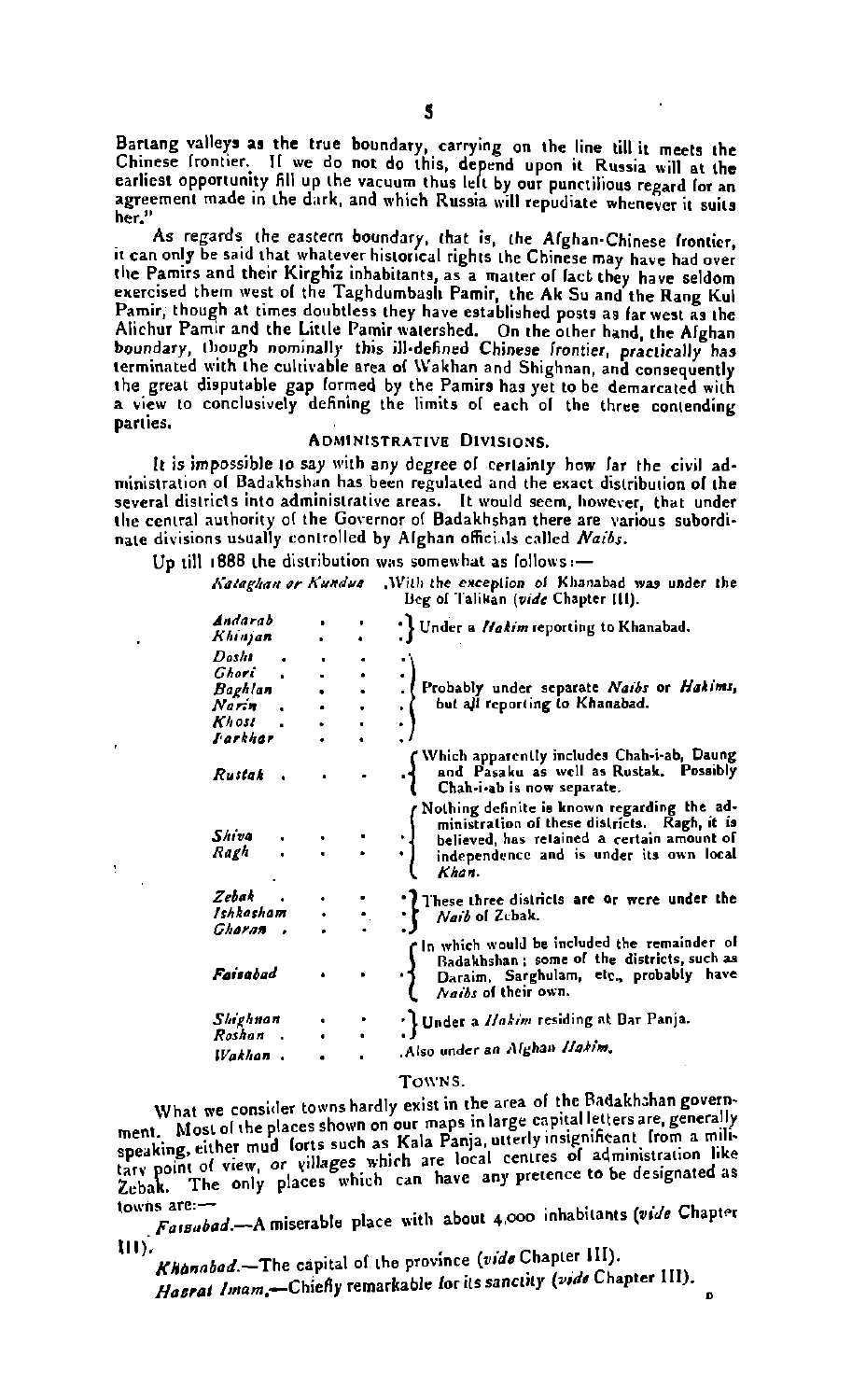Bartang valleys as the true boundary, carrying on the line till it meets the Chinese frontier. If we do not do this, depend upon it Russia will at the earliest opportunity fill up the vacuum thus left by our punctilious regard for an agreement made in the dark, and which Russia will repudiate whenever it suits her."

As regards the eastern boundary, that is, the Alghan-Chinese frontier, it can only be said that whatever historical rights the Chinese may have had over the Pamirs and their Kirghiz inhabitants, as a matter of fact they have seldom exercised them west of the Taghdumbash Pamir, the Ak Su and the Rang Kul Pamir, though at times doubtless they have established posts as far west as the Alichur Pamir and the Little Pamir watershed. On the other hand, the Alghan boundary, though nominally this ill-defined Chinese frontier, practically has the great disputable gap formed by the Pamirs has yet to be demarcated with a view to conclusively defining the limits of each of the three contending parties.

#### **ADMINISTRATIVE DIVISIONS.**

It is impossible to say with any degree of certainty how far the civil administration of Badakhshan has been regulated and the exact distribution of the several districts into administrative areas. It would seem, however, that under the central authority of the Governor of Badakhshan there are various subordinate divisions usually controlled by Alghan officials called Naibs.

Un till 1888 the distribution was somewhat as follows:-

Kataghan or Kundus With the exception of Khanabad was under the Beg of Talikan (vide Chapter III).

| Andarab<br>Khinjan                                     |  | Under a Ilakim reporting to Khanabad.                                                                                                                                                         |
|--------------------------------------------------------|--|-----------------------------------------------------------------------------------------------------------------------------------------------------------------------------------------------|
| Desht<br>Ghori<br>Baghlan<br>Narin<br>Khost<br>Farkhar |  | Probably under separate Naibs or Hakims,<br>but all reporting to Khanabad.                                                                                                                    |
| Rustak                                                 |  | Which apparently includes Chah-i-ab, Daung<br>and Pasaku as well as Rustak. Possibly<br>Chah-i-ab is now separate.                                                                            |
| Shive<br>Ragh                                          |  | Nothing definite is known regarding the ad-<br>ministration of these districts. Ragh, it is<br>believed, has retained a certain amount of<br>independence and is under its own local<br>Khan. |
| Zebak<br>Ishkasham                                     |  | These three districts are or were under the<br>Naib of Zebak.                                                                                                                                 |
| Gharan<br>Faisabad                                     |  | In which would be included the remainder of<br>Badakhshan; some of the districts, such as<br>Daraim, Sarghulam, etc., probably<br>have<br>Naibs of their own.                                 |
| Shighnan<br>Roshan<br><b>Wakhon</b> .                  |  | ' Under a Ilakim residing at Bar Panja.<br>Also under an Alghan Ilakim.                                                                                                                       |

#### TOWNS.

What we consider towns hardly exist in the area of the Badakhshan government. Most of the places shown on our maps in large capital letters are, generally speaking, either mud forts such as Kala Panja, utterly insignificant from a miliappearing, critics we can assume a case any success of administration like<br>tary point of view, or villages which are local centres of administration like<br>Zebak. The only places which can have any pretence to be designated lowns are:-

Fassubad.-A miserable place with about 4,000 inhabitants (vide Chapter mv.

Khanabad.-The capital of the province (vide Chapter III). Hasrat Imam,-Chiefly remarkable for its sanctity (vide Chapter III).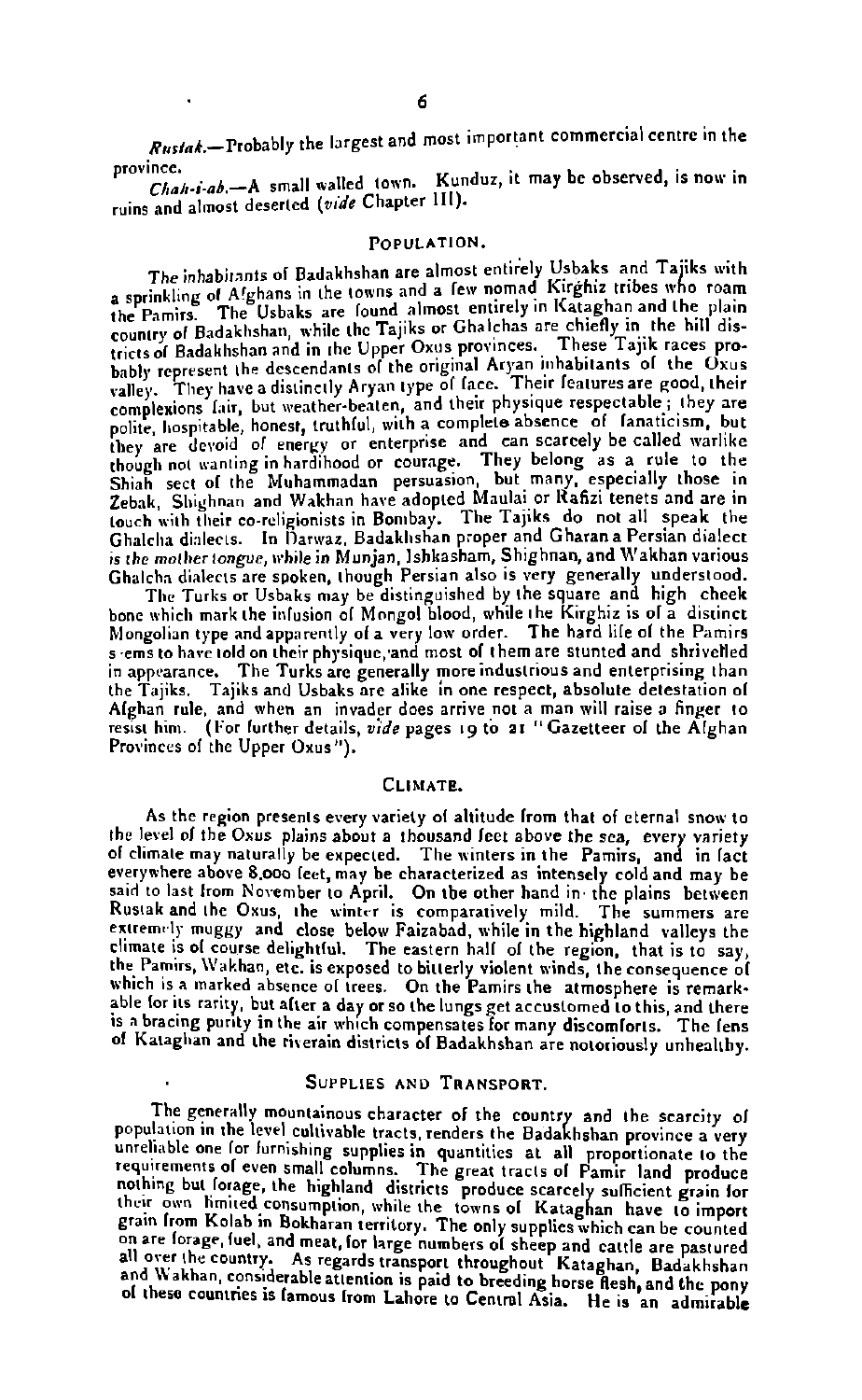Rustak,—Probably the largest and most important commercial centre in the province.

.......<br>Chah-i-ab.-A small walled town. Kunduz, it may be observed, is now in and almost deserted **(wde** Chapter 111).

#### POPULATION.

The inhabitants of Badakhshan are almost entirely Usbaks and Tajiks with<br>a sprinkling of Afghans in the towns and a few nomad Kirghiz tribes who roam a sprinkling of A!ghans in the towns and a lew nomad Itugalia those who roam<br>the Pamirs. The Usbaks are lound almost entirely in Kataghan and the plain country of Badakhshan and in the Upper Oxus provinces. These Tajik races pro-<br>tricts of Badakhshan and in the Upper Oxus provinces. These Tajik races pro-<br>hably represent the descendants of the original Aryan inhabitants o complexions fair, but weather-beaten, and their physique respectable; they are polite, hospitable, honest, truthful, with a complexion some there are the polite they are devoid of energy or enterprise and can scarcely be c though not want in the Muhammadan persuasion, but many, especially those in<br>Shiah sect of the Muhammadan persuasion, but many, especially those in touch with their co-religionists in Bombay. The Tajiks do not all speak the Ghalcha dialects. In Darwaz, Badakhshan proper and Gharan a Persian dialect is the mother tongue, while in Munjan, Ishkasham, Shighnan, and Wakhan various<br>Ghalcha dialects are spoken, though Persian also is very generally understood.

Ghalcha dialects are spoken, though Persian also is very generally understood.<br>The Turks or Usbaks may be distinguished by the square and high cheek bone which mark the infusion of Mongol blood, while the Kirghiz is of a distinct Mongolian type and apparently of a very low order. The hard lile of the Pamirs<br>s ems to have told on their physique, and most of them are stunted and shrivelled in appearance. The Turks are generally more industrious and enterprising than the Tajiks. Tajiks and Usbaks are alike in one respect, absolute detestation of Alghan rule, and when an invader does arrive not a man will raise a **finger** to resist him. **(For** lurther details, **vide** pager **19** to **a1** "Gazetteer ol the Alghan Provinces of the Upper Oxus").

#### CLIMATE.

As the region presents every variety of altitude from that of eternal snow to the level of the Oxus plains about a thousand feet above the sea, every variety of climate may naturally be expected. The winters in the Pamirs, and in fact<br>everywhere above 8,000 feet, may be characterized as intensely cold and may be said to last from November to April. On the other hand in the plains between<br>Rustak and the Oxus, the winter is comparatively mild. The summers are extremely muggy and close below Faizabad, while in the highland valleys the climate is of course delightful. The eastern half of the region, that is to say, the Pamirs, Wakhan, etc. is exposed to bitterly violent winds, the consequence of<br>which is a marked absence of trees. On the Pamirs the atmosphere is remarkable for its rarity, but after a day or so the lungs get accustomed to this, and there<br>is a bracing purity in the air which compensates for many discomforts. The fens of Kataghan and the riverain districts of Badakhshan are notoriously unhealthy.

#### SUPPLIES **AND** TRANSPORT.

The generally mountainous character of the country and the scarcity of population in the level cultivable tracts, renders the Badakhshan province a very unreliable one for furnishing supplies in quantities at all proportionate to the requirements of even small columns. The great tracts of Pamir land produce<br>nothing but forage, the highland districts produce scarcely sufficient grain for their own limited consumption, while the towns of Kataghan have to import grain from Kolab in Bokharan territory. The only supplies which can be counted on are forage, fuel, and meat, for large numbers of sheep and cattle **01** theso countries in lamour lrom Lahore to Centml Asia. He is **'an** admirable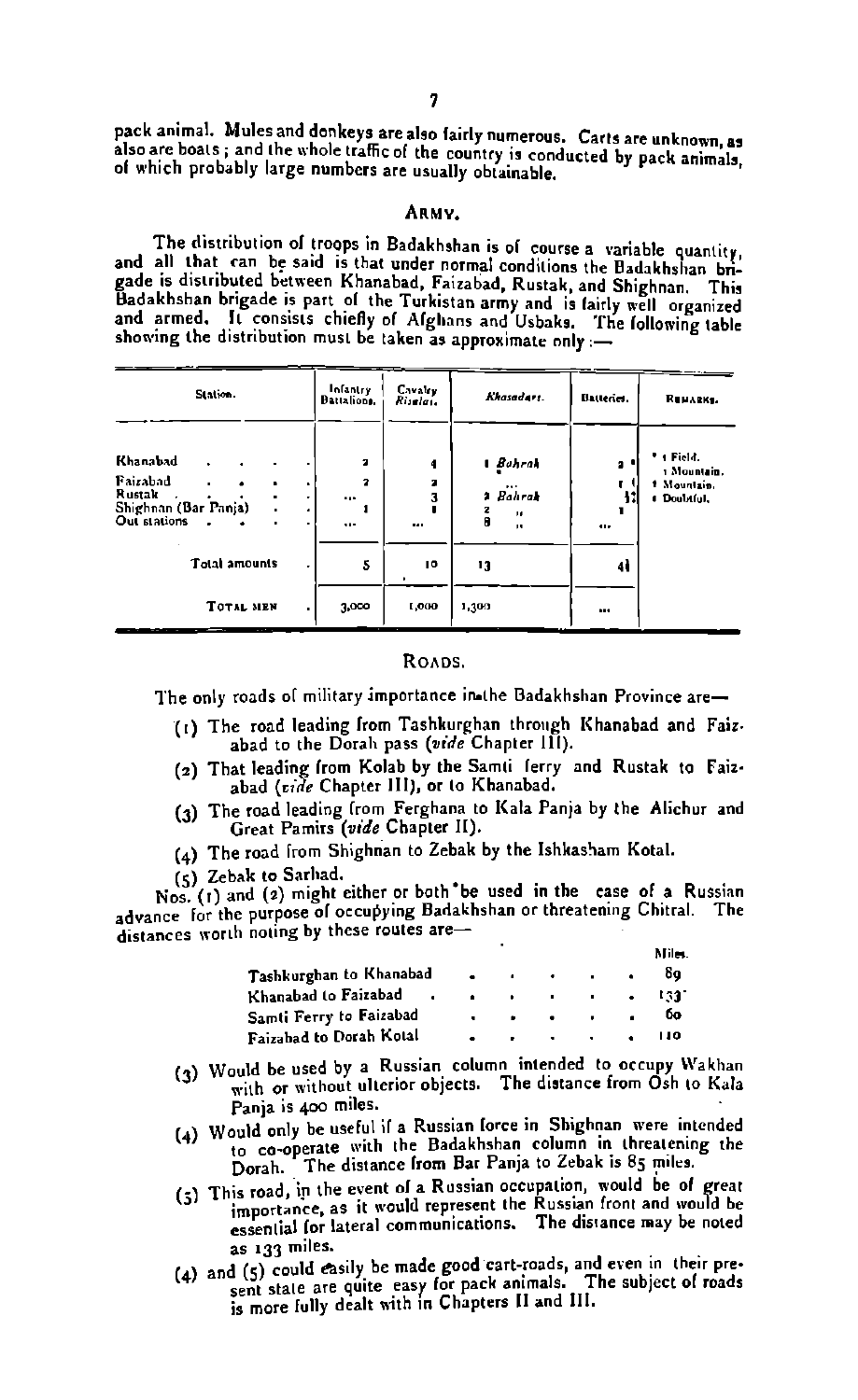pack animal. Mules and donkeys are also fairly numerous. Carts are unknown, as pack animal. There are both the whole traffic of the country is conducted by pack animals, of which probably large numbers are usually obtainable.

#### ABMV

The distribution of troops in Badakhshan is of course a variable quantity. and all that can be said is that under normal conditions the Badakhshan bngade is distributed between Khanabad, Faizabad, Rustak, and Shighnan. This Badakhshan brigade is part of the Turkistan army and in fairly well and armed. It consists chiefly of Afglians and Usbaks. The following table<br>showing the distribution must be taken as approximate only :-

|                                                                        | Station.         |                  | __ | Infantry<br>Battalions. | Cavaley<br>Pisalai.     | Ekasedart.                                                                 | Batteries.                  | REMARKS.                                                |
|------------------------------------------------------------------------|------------------|------------------|----|-------------------------|-------------------------|----------------------------------------------------------------------------|-----------------------------|---------------------------------------------------------|
| Khanabad<br>Fairabad<br>Rustak<br>Shighnan (Bar Panja)<br>Out stations | ٠<br>٠           | ٠<br>٠<br>٠<br>٠ | ٠  | ä<br>2<br><br>$\ddotsc$ | 4<br>3<br>3<br>$\cdots$ | 1 Bahrak<br>$\cdots$<br>Bahrak<br>٠<br>$\mathbf{u}$<br>A<br>$\blacksquare$ | $\bullet$<br>11<br>$\cdots$ | * r Field.<br>1 Mountain.<br>1 Mountain.<br># Doubtful. |
|                                                                        | Total amounts    |                  | ۰  | 5                       | IO                      | 13                                                                         | 4                           |                                                         |
|                                                                        | <b>TOTAL MEN</b> |                  | ۰  | 3,000                   | 1,000                   | 1,300                                                                      | $\mathbf{u}$                |                                                         |

#### Roans

The only roads of military importance in the Badakhshan Province are-

- (1) The road leading from Tashkurghan through Khanabad and Faiz. abad to the Darah pass *(wide* Chapter Ill).
- (2) That leading from Kolab by the Samti ferry and Rustak to Faizabad *(vide* Chapter III), or to Khanabad.
- (3) The road leading lrom Ferghana to Kala Panja by the Aliehur and Great Pamirs *(vide* Chapter 11).
- $(4)$  The road from Shighnan to Zebak by the Ishkasham Kotal.
- **(5)** Zebak to Sarhad.

Nos. (1) and (2) might either or both<sup>+</sup>be used in the case of a Russian advance for the purpose of occupying Badakhshan or threatening Chitral. The distances worth noting by these routes are-

|                                                                 |  |                                                                                                                 | Miles.                                                                                                                                                                                                                               |  |
|-----------------------------------------------------------------|--|-----------------------------------------------------------------------------------------------------------------|--------------------------------------------------------------------------------------------------------------------------------------------------------------------------------------------------------------------------------------|--|
| Tashkurghan to Khanabad                                         |  |                                                                                                                 | 89                                                                                                                                                                                                                                   |  |
| Khanabad to Faizabad .                                          |  |                                                                                                                 | <b>Contract Contract Contract Contract Contract Contract Contract Contract Contract Contract Contract Contract Contract Contract Contract Contract Contract Contract Contract Contract Contract Contract Contract Contract Contr</b> |  |
| Samti Ferry to Faizabad                                         |  | .                                                                                                               | <b>DO</b>                                                                                                                                                                                                                            |  |
| Faizabad to Dorah Kotal                                         |  | the contract of the contract of the contract of the contract of the contract of the contract of the contract of | $\blacksquare$                                                                                                                                                                                                                       |  |
| (3) Would be used by a Russian column intended to occupy Wakhan |  |                                                                                                                 |                                                                                                                                                                                                                                      |  |

- was a Rurrian column intended to our and the distance from Osh to Kala Panja is 400 miles.
- (4) Would only be useful if a Russian force in Shighnan were intended bara with the Badakhshan column in threatening the co-operate with the Badakhshan column in threatening the Dorah.
- Dorah. The distance from Dat ranja to Zeuak is of the expected<br>
(5) This road, in the event of a Russian occupation, would be importance, as it would represent the Russian front and would be<br>
essential (or lateral communic as **133** miles.
- **(4)** and (5) easily be made good cart-roads, and even in their pre-sent stale **are** quite **Fary** for pack animals. The subject of roads is more fully dealt wth **~n** Chapters I1 and Ill.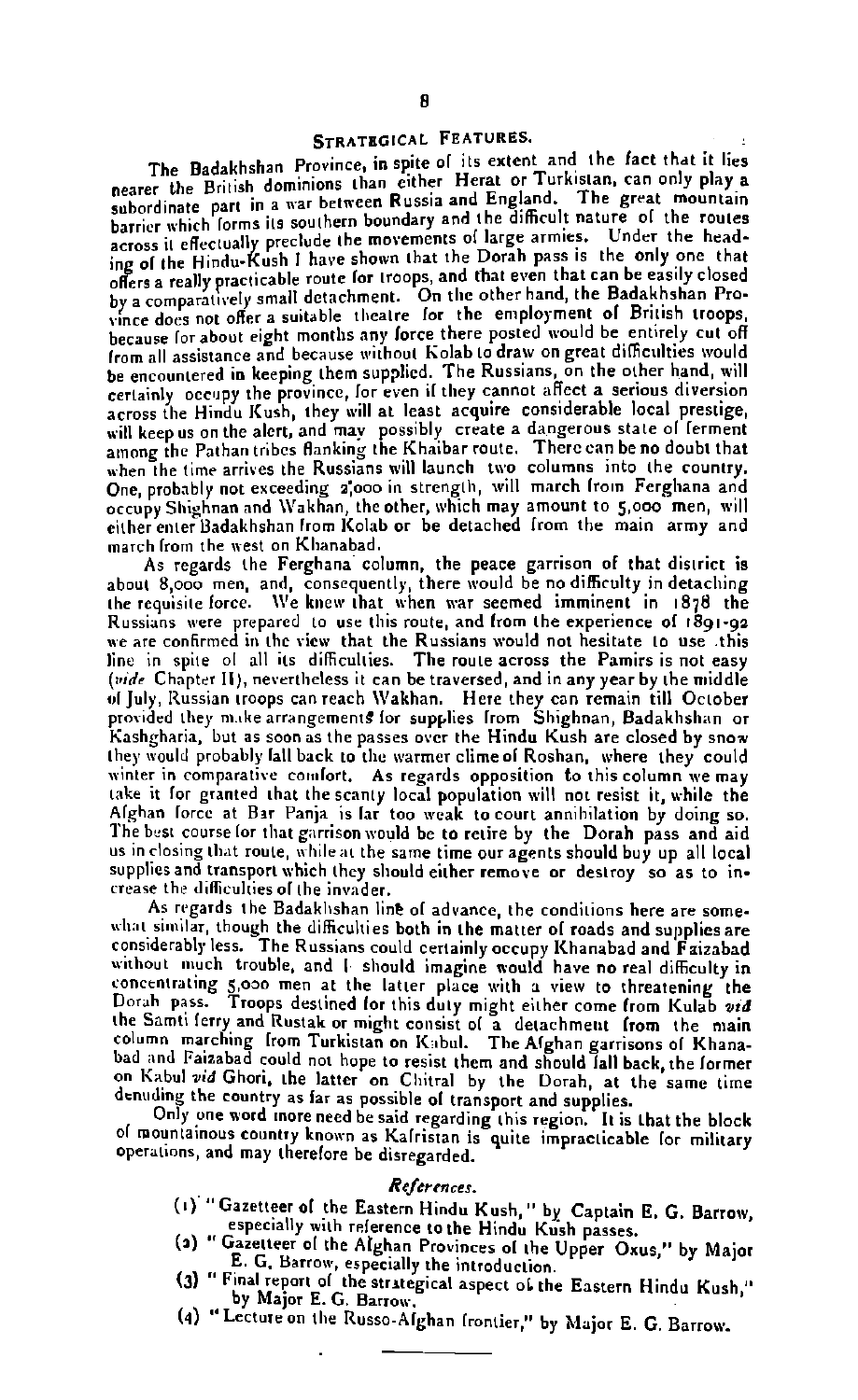#### STRATEGICAL FEATURES.

The Badakhshan Province, in spite of its extent and the fact that it lies nearer the British dominions than cither Herat or Turkislan, can only play a<br>subordinate part in a war between Russia and England. The great mountain barrier which forms its southern boundary and the difficult nature of the routes parties with other precisely contained to movements of large armies. Under the headacross in circularity presents the shown that the Dorah pass is the only one that offers a really practicable route for troops, and that even that can be easily closed by a comparatively small detachment. On the other hand, the Badakhshan Provy a comparatively small contribution. For the employment of British troops. the about the cause of a series of the cause of the cause is a sops, from all assistance and because without Kolab to draw on great difficulties would be encountered in keeping them supplied. The Russians, on the other hand, will certainly occupy the province, for even if they cannot affect a serious diversion across the Hindu Kush, they will at least acquire considerable local prestige, weither the time alert, and may possibly create a dangerous state of ferment<br>among the Pathan tribes flanking the Khaibar route. There can be no doubt that when the time arrives the Russians will launch two columns into the country. **One,** probably not exceeding **2:ooo** in rtrcngth, will march lrom Ferghana and occupy Shighnan and Wakhan, the other, which may amount to 5,000 men, will either enter Badakhshan from Kolab or be detached from the main army and march lrom the west an Kllanabad.

As regards the Ferghana column, the peace garrison **of** that district is about 8,000 men, and, consequently, there would be no difficulty in detaching the requisnte lorce. **\\'e** knew that when **war** seemed imminent in 1878 the Russians were prepared to use this route, and from the experience of 1891-92 **we are** confirmed in the view that the Russians would not hesitate to use this line in spite of all its difficulties. The route across the Pamirs is not easy **(side** Chaptcr II), nerrrtheless it **can** be traversed, and in any year by the middle 01 July, Russian troops can reach \\lakhan. **Here** they **can** remain till October prorbdrd they **n~** tke arrangement9 lor supplies lrom Shighnan, Badakhshan **or**  liashgharin, but **as soonar** the passer **oscr** the Hindu Kush are closed by **snow**  they would probably fall back to the warmer clime of Roshan, where they could winter in comparative comfort. As regards opposition to this column we may take it for granted that the scanty local population will not resist it, while the Al~han lorcc at Bar Panja is lar too **weak** to court annihilation by doing **so.**  The best course for that gartison would be to retire by the Dorah pass and aid us in closing that route, while at the same time our agents should buy up all local supplies and transport which they should either remove or destroy so as to increase the dificuhies 01 the invader.

As regards the Badaklashan line 01 advance the conditions here **are** some what similar, though the difficulties both in the matter of roads and supplies are considerably less. The Russians could certainly occupy Khanabad and Fatzabad without much trouble, and I should imagine would have no real difficulty in conccnlrrling 5,030 men at the latter place with a **view** to threatening the Dorah pass. Troops destined lor thir duty might either come lrom Kulab **vtd**  the Samti ferry and Rustak or might consist of a detachment from the main column marching from Turkistan on Kabul. The Afghan garrisons of Khanabad and Faizabad could not hope to resist them and should fall back, the former on Kabul *vid* Ghori, the latter on Chitral by the Dorah, at the same time denuding the country as far as possible of transport and supplies.

Only **one** n'ord **Enore** need be raid regarding thir region. It is that the block of mountainous country known as Kafristan is quite impracticable for military operations, and may therefore be disregarded.

#### **ReJermccr.**

- (1) "Gazetteer of the Eastern Hindu Kush," by Captain E. G. Barrow, especially with reference to the Hindu Kush passes.
- (2) " Gazetteer of the Alghan Provinces of the Upper Oxus," by Major E. G. Barrow, especially the introduction.
- (3) " Final report of the strategical aspect of the Eastern Hindu Kush," by Major E. G. **Barrow.**
- (4) "Lecture on the Russo-Alghan frontier," by Major E. G. Barrow.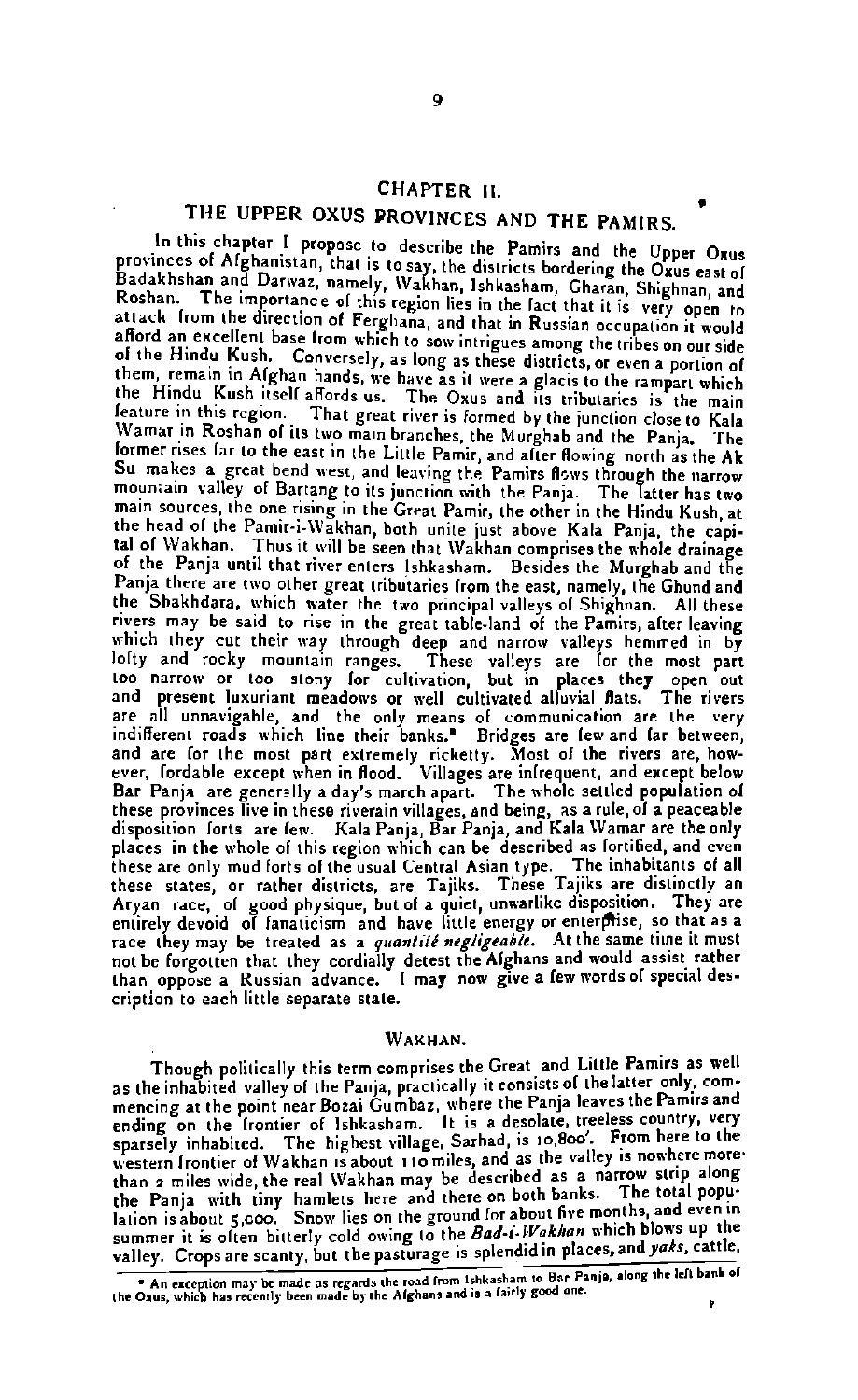### CHAPTER **II.**

### THE UPPER OXUS PROVINCES AND THE PAMIRS.

In this chapter I propose to describe the Pamirs and the Upper Oxus<br>provinces of Afghanistan, that is to say, the districts bordering the Oxus east of Badakhshan and Darwaz, namely. Wakhan, Ishkasham, Gharan, Shighnan, and Roshan. The importance of this region lies in the fact that it is very open to attack from the direction of Ferghana, and that in Russian occupation it would a Afford an excellent base from which to sow intrigues among the tribes on our side of the Hindu Kush. Conversely, as long as these districts, or even a portion of them, remain in Alghan hands, we have as it were a glacis to the rampart which the Hindu Kush itself affords us. The Oxus and its tributaries is the main leature in this region. That great river is formed by the junction closeto Kala former rises far to the east in the Little Pamir, and after flowing north as the Ak Su makes a great bend west, and leaving the Pamirs flows through the narrow mountain valley of Bartang to its junction with the Pamia. The main sources, the one rising in the Great Pamir, the other in the Hindu Kush, at the head of the Pamir-i-Wakhan, both unite just above Kala Panja, the capital of Wakhan. Thus it will be seen that Wakhan comprises the whole drainage of the Panja until that river enters Ishkasham. Besides the Murghab and the Panja there are two other great tributaries from the east, namely, the Ghund and the Shakhdara, which water the two principal valleys of Shighnan. All these rivers may be said to rise in the great table-land of the Pamirs, alter leaving which they cut their way through deep and narrow valleys hemmed in by olty and rocky mountain ranges. These valleys are for the most part<br>loo narrow or too stony for cultivation, but in places they open out<br>and present luxuriant meadows or well cultivated alluvial flats. The rivers are all unnavigable, and the only means of communication are the very<br>indifferent roads which line their banks." Bridges are few and far between,<br>and are for the most part extremely ricketty. Most of the rivers are, how-<br>e these provinces live in these riverain villages, and being, as a rule, ol a peaceable<br>disposition lorts are lew. Kala Panja, Bar Panja, and Kala Wamar are the only places in the whole of this region which can be described as lortthed, and even<br>these are only mud forts of the usual Central Asian type. The inhabitants of all<br>these states, or rather districts, are Tajiks. These Tajiks a **race they may be treated as a quantité negligeable.** At the same time it must not be forgotten that they cordially detest the Afghans and would assist rather not be forgotten that they cordially detest the Alghans and would assis! rather than appose a Russian advance. I may now give a lew words **or** special description to each little separate state.

#### **WAKHAN.**

Though politically this term comprises the Great and Little Pamirs as well as the inhabited valley of the Panja, practically it consists of the latter only, commencing at the point near Bozai Gumbaz, where the Panja leaves the Pamirs and<br>ending on the frontier of Ishkasham. It is a desolate, treeless country, very ending on the Irontier of Ishkasham. It is a desolate, treeless country, very<br>sparsely inhabited. The highest village, Sarhad, is 10.800<sup>'</sup>. From here to the western Irontier of Wakhan is about 110 miles, and as the valley is nowhere more-<br>than a miles wide, the real Wakhan may be described as a narrow strip along the Panja with tiny hamlets here and there on both banks. The total population is about 5,000. Snow lies on the ground for about five months, and even in summer it is often bitterly cold owing to the *Bad-i.Wakhan* which blows up the

valley. Crops are scanty, but the pasturage is splendid in places, and yaks, cattle, An exception may be made as regards the road from Ishkasham to Bar Panja, along the left bank of the Oras, which has recently been made b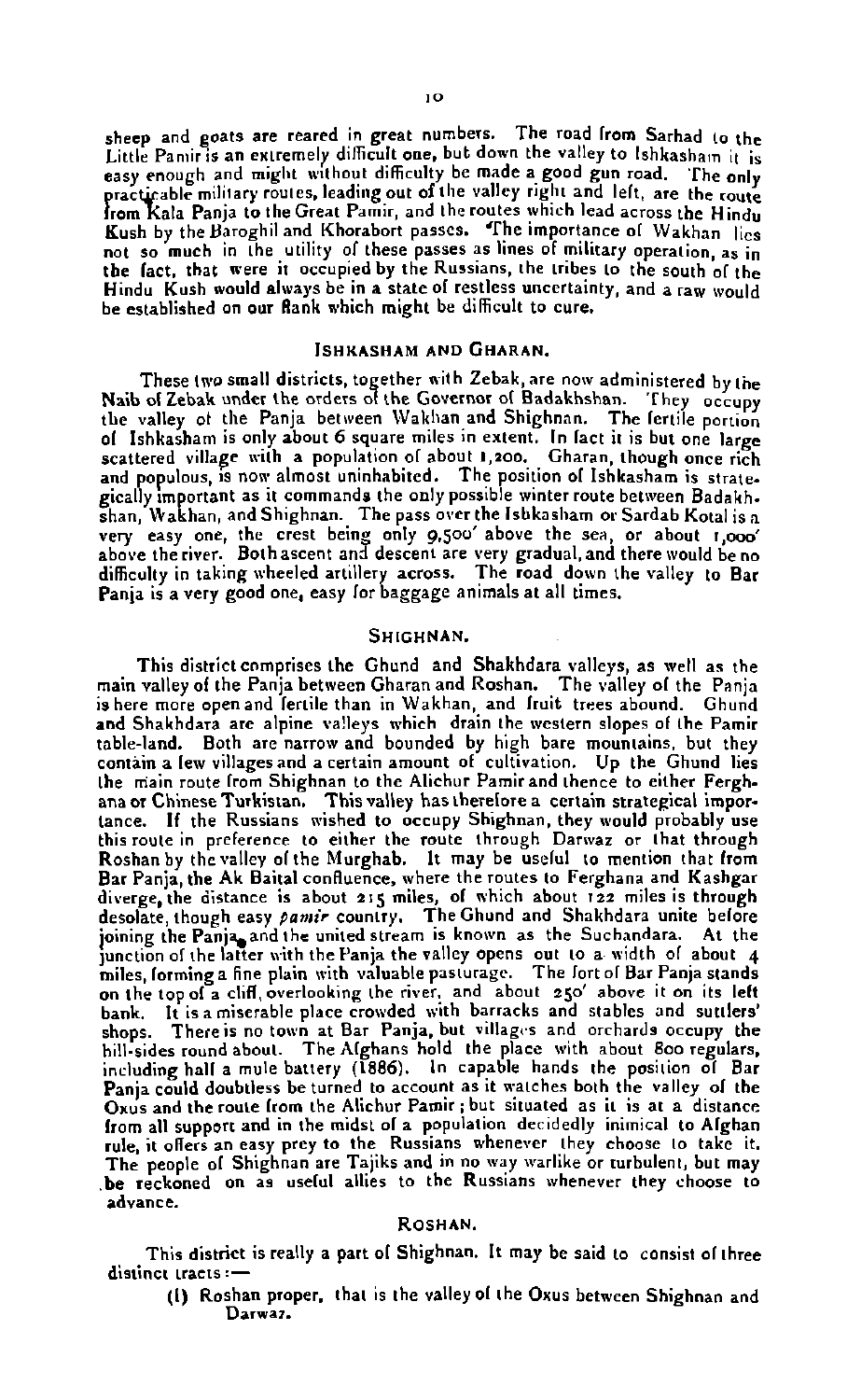sheep and goats are reared in great numbers. The road from Sarhad to the Sheep and goals are rearch difficult one, but down the valley to Ishkasham it is:<br>Little Panir is an extremely difficult one, but down the valley to Ishkasham it is: practicable military routes, leading out of the valley right and lelt, are the route<br>from Kala Panja to the Great Pamir, and the routes which lead across the Hindu Bush by the Baroghil and Khorabort passes. The importance ol Wakhan lies not so much in the utility **01** these passes as lines of military operation **as** in the fact, that were it occupied by the Russians, the tribes to the south of the Hindu Kush would always be in a state of restless uncertainty, and a raw would be established on our Rank which might be difficult to cure.

#### ISHKASHAM AND GHARAN.

These two small districts, together with Zebak, are now administered by the Naib of Zebak under the orders of the Governor of Badakhshan. They occupy<br>the valley of the Panja between Wakhan and Shighnan. The fertile norrion of Ishkasham is only about 6 square miles in extent. In fact it is but one large scattered village with a population of about 1,200. Gharan, though once rich<br>and populous, is now almost uninhabited. The position of Ishkasham is strate-<br>gically important as it commands the only possible winter route bet shan, Wakhan, and Shighnan. The pass over the Isbkasham or Sardab Kotal is a shan, Wakhan, and Shighnan. The pass over the Isbkasham or Sardab Kotal is a<br>very easy one, the crest being only 9.500' above the sea, or about 1,000'<br>above the river. Both ascent and descent are very difficulty in taking wheeled artillery across. The road down the valley to Bar Panja is a very good one, easy for baggage animals at all times.

#### SHIGHNAN.

This districtcnmprises the Ghund and Shakhdara valleys, as well **as** the main valley of the Panja between Gharan and Roshan. The valley of the Panja is here more openand lertile than in Wakhan, and lruit **trees** abound. Ghund and Shakhdara **are** alpine va!leyr which drain the western slopes **of** the Pamir table-land. Both **arc** narrow and bounded by high bare mounlains, but they contain a few villager and a certain amount **of** cultivation. Up the Ghund lies the main route from Shighnan to the Alichur Pamir and thence to either Ferghana or Chinese Turkistan. This valley has therelore a certain strategical importance. If the Russians wished to occupy Shighnan, they would probably use this route in preference to either the route through Darxvar **or** lhat through Roshan by the valley of the Murghab. It may be useful to mention that from Bar Panja the Ak Baital confluence, where the routes to Ferghana and Kashgar diverge, the distance is about 215 miles, of which about 122 miles is through desolate, though easy pamir country. The Ghund and Shakhdara unite before joining the Panja, and the united stream is known as the Suchandara. At the ]unction afthe latter with thePanja the valley opens out to a width **of** about **4** miles lorrninga fine plain aith valuable parturagc. The fort ol Bar Panja slands on the topol **a** cld,overlooking the river, and about 250' above it **on** its lelt bank. It is a miserable place crowded with barracks and stables and suttlers' shops. There is no town at Bar Panja, but villages and orchards occupy the hill-sides round about. The Alghans hold the place with about Boo regulars,<br>including hall a mule battery (1886). In capable hands the position of Bar Pania could doubtless be turned to account as it watches both the valley of the **Oxus** and theroute lrom the Alichur Pamir ; but situated as it is at a distance from all support and in the midst ol a population decidedly inimical to Alghan rule, it offers an easy prey to the Russians whenever they choose to take it. The people of Shighnan are Tajiks and in no way warlike or turbulent, but may be reckoned on as useful allies to the Russians whenever they choose to advance.

#### ROSHAN.

This district is really a part of Shighnan. It may be said to consist of three distinct tracts :-

(I) Rorhan proper. that is the valleyol ~he **Oxus** between Shighnan and **Darwaz.**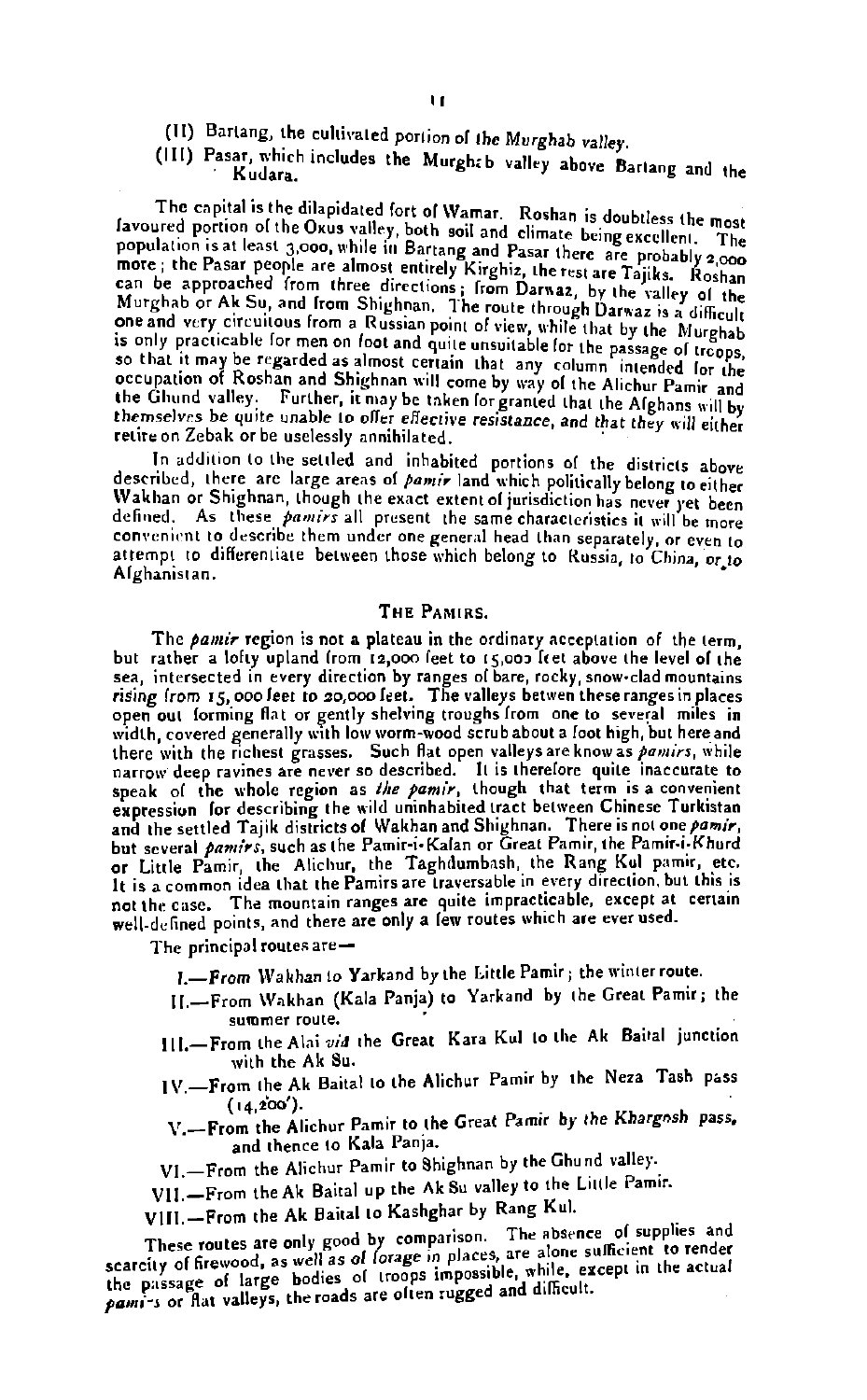- (11) Bartang, the cultivaled portion of the Murghab valley.
- (III) Pasar, which includes the Murght b valley above Barlang and the Kudara.

The capital is the dilapidated fort of Wamar. Roshan is doubtless the most favoured portion of the Oxus valley, both soil and climate being excellent. The population is at least 3,000, while in Bartang and Pasar there are favoured portion of the Oxus valley, both soil and climate being excellent. The more ; the Pasar people are almost entirely Kirghiz, the rest are Tajiks. Roshan Mure ; the rassi propie are annous enturity runging the can be approached from three directions; from Darway and the Su, and Irom Shighnan. The route through Darwaz is a difficult Murghab or Ak Su, and Irom Shighnan. The r one and very circuitous from a Russian point of view, while that by the Murghab<br>s only practicable for men on foot and quite unsuitable for the passage of **which the passage of the passage of** o that it may be regarded as almost certain that any column intended lor the possible.<br>Coupation of Roshan and Shighnan will come by way of the Alichur Pamir. the Ghund valley. Further, it may be taken for granted that the Afghans will by themselves be quite unable to offer *effective* resistance, and that they will either retire on Zebak or be uselessly annihilated.<br>In addition to the settled and inhabited portions of the districts above

described, there are large areas of *pamir* land which politically belong to either Wakhan or Shighnan, though the exact extent of jurisdiction has never yet been defined. As these *pamirs* all present the same characteristics it will be more convenient to describe them under one general head than separately, or even to attempt to differentiate between those which belong to Russia, to China, or to Alghanistan.

#### THE PAMIDS.

The *pamir* region is not a plateau in the ordinary acceptation of the term,<br>but rather a lofty upland from 12,000 feet to 15,003 feet above the level of the sea, intersected in every direction by **ranger** ol bare, rocky, mow.clad mountains rising from 15,000 feet to zo,ooofcel. The valleys betwen there ranger in placer open oul lorming flat or gently shelving troughs from **one** to several miles in width, covered generally with low worm-wood scrub about a foot high, but here and there with the richest grasses. Such flat open valleys are know as *pamirs*, while narrow deep ravines are never so described. It is therelore quite inaccurate to speak ol the whole region **as** *the* **pamir,** though that term isa convenient expression for describing the wild uninhabited tract between Chinese Turkistan and the settled Tajik districts of Wakhan and Shighnan. There is not one pamir, but several *pamirs*, such as the Pamir-i-Kalan or Great Pamir, the Pamir-i-Khurd or Little Pamir, the Alichur, the Taghdumbash, the Rang Kul pamir, etc. It is a common idea that the Pamirs are traversable in every direction, but this is not the case. The mountain ranges are quite impracticable, except at certain well-defined points, and there are only a lew routes which are ever used.

The principal routes are-

- I.-From Wakhan to Yarkand by the Little Pamir ; the winter route.
- 11.-From \Vakhan (Kala Panja) to Yarkand by the Great Pamir; the summer roule.
- 111.-From the Alai vid the Great Kara Kul to the Ak Baital junction<br>with the Ak Su.
- with the Ak Su.<br>IV.<del>..... From the Ak Baital to the Alichur</del> Pamir by the Neza Tash pass **(l4.i~').**
- \r.-~~~~ the Pamir to the Great Pamir by the Khargnsh **Pass.**  and hence to Kala Panja.
- VI.-From the Alichur Pamir to Shighnan by the Ghund valley.
- VII.-From the Ak Baital up the Ak Su valley to the Little Pamir.
- VIII.-From the Ak Baital to Kashghar by Rang Kul.

These routes are only good by comparison. The absence of supplies and scarcity of firewood, as well as of forage in places, are alone sufficient to render the passage of large bodies of troops impossible, while, except in the actual pami<sup>-</sup>s or flat valleys, the roads are often rugged and difficult.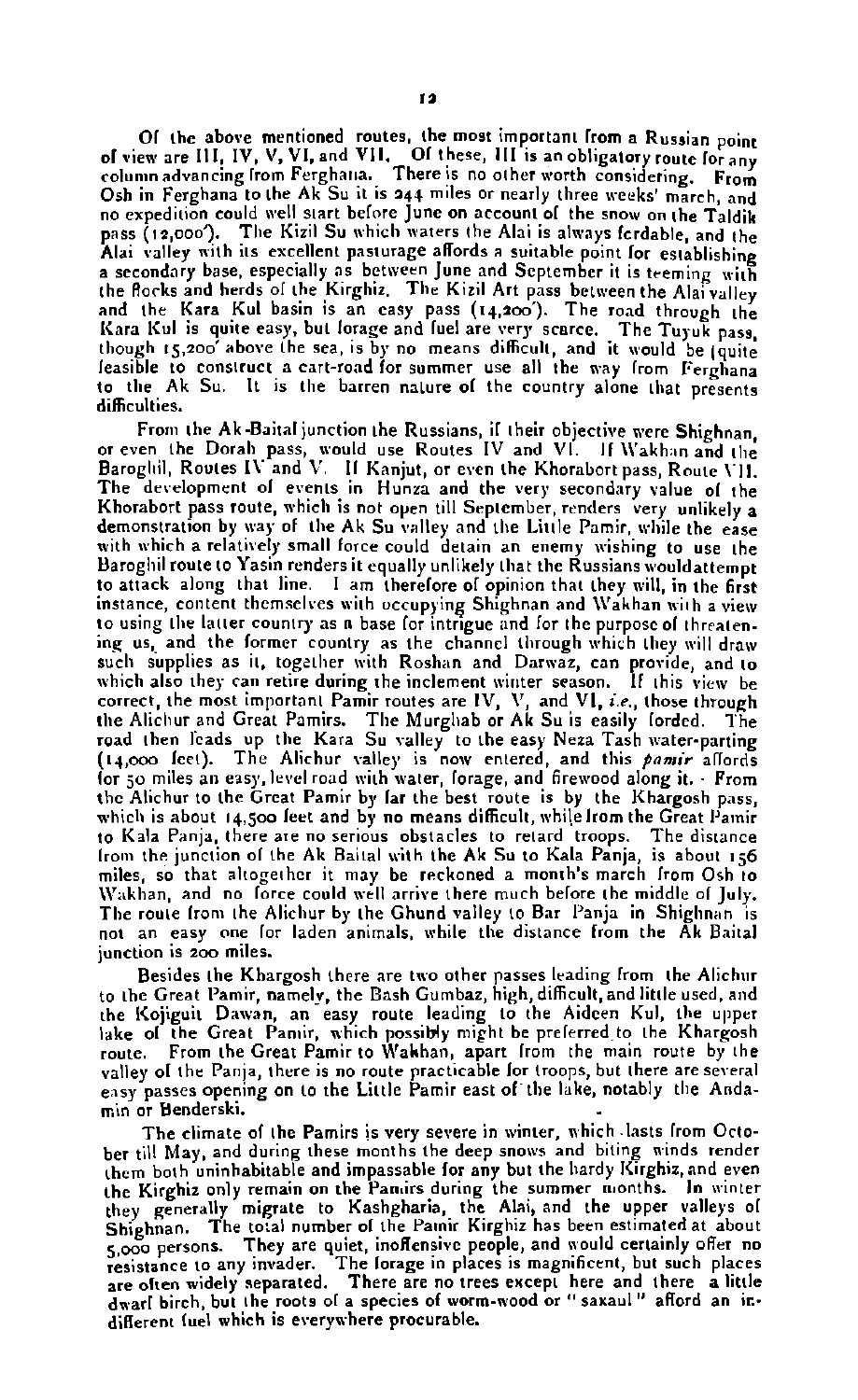O1 the above mentioned routes, the most important from a Russian point<br>of view are 111, IV, V, VI, and VII. O1 these, III is an obligatory route lorany<br>column advancing from Ferghana. There is no other worth considering. F Osh in Ferghana to the Ak Su it is **a41** miles or nearly three weeks' march, and expedition could well start before **June on** account 01 the snow **an** the Taldik nass (12.000'). The Kizil Su which waters the Alai is always fordable, and the pass (127000). The system of answer and the suitable point for establishing<br>Alai valley with its excellent pasturage affords a suitable point for establishing<br>a secondary base, especially as between June and September it i a secondary base, especially as between June and Scptember it is teeming with<br>the flocks and herds of the Kirghiz. The Kizil Art pass between the Alai valley<br>and the Kara Kul basin is an casy pass (14,200). The road throug leasible to construct a cart-road for summer use all the way from Ferghana to the Ak Su. It is the barren nature of the country alone that presents difficulties.

From the Ak-Baital junction the Russians, if their objective were Shighnan. or even the Dorah pass, would use Routes IV and VI. If Wakhan and the<br>Baroglill, Routes IV and V. If Kanjut, or even the Khorabort pass, Route VII.<br>The development of events in Hunza and the very secondary value of the Khoraborl pass route, which is not **open** till September, **renders** very unlikely a demonstration by way of the Ak Su valley and the Little Pamir, while the ease with which a relatively small force could detain an enemy wishing to use the Baroghil route to Yasin renders it equally unlikely that the Russians wouldattempt to attack along that line. I am therefore of opinion that they will, in the first instance, content themselves with occupying Shighnan and Wakhan with a view to using the latter country as a base for intrigue and for the purpose of threateninc us, and the former country **as** the channel through which they will draw such supplies as it, together with Roshan and Darwaz, can provide, and to which also they can retire during the inclement winter season. If this view be correct, the most important Pamir routes **are** IV, \', and VI, **i.e.,** those through the Alichur and Great Pamirs. The Murghab or Ak Suis easily forded. The<br>road then leads up the Kara Suvalley to the easy Neza Tash water-parting<br>{14,000 fett). The Alichur valley is now entered, and this pamir affords lor 50 miles an easy, level road with water, forage, and firewood along it. . From thc Alichur to the Grcat Pamir by lar the best route is by the Khargosh pass, which is about 14,500 feet and by no means difficult, while from the Great Pamir to Ksla Panjd, there **are no** serious obstacles to retard troops. The distance lrom tho junction ol the Ak Bailal with the Ak Su to Kala Panja, is about **1-6** miles, so that altogether it may be reckoned a month's march from Osh to Wakhan, and no lorce could well arrive there much before the middle of July. The route from the Alichur by the Ghund valley to Bar Panja in Shighnan is not an eary **one** lor laden animals. while the distance from the Ak Bailal junction is 200 miles.

Besides the Khargosh there are two other passes lrading from the Alichur to the Great Pamir, namely, the Bash Gumbaz, high, difficult, and little used, and the Kojiguit Dawan, **an** eary route leading to the Aideen Kul, the upper lake of the Great Pannir, which possibly might be preferred to the Khargosh route. From the Great Pamir to Wahhan, apart lrom the main route by the valley ol the **Panla,** thure is no route practicable lor troops, but there **are** scveral easy passes opening on to the Little Pamir east of the lake, notably the Anda**min or** Benderski.

The climate of the Pamirs is very severe in winter, which lasts from Octoher till May and during these months the deep **snon,s** and biting winds render the Kirghiz only remain on the Panars during the summer months. In winter they generally migrate to Kashgharia, the Alai, and the upper valleys of Shiehnan. The total number of the Patnir Kirghiz has been estimated at about **5,000** persons. They are quiet, inoflenrivc people, and nould certainly **oflrr no**  resistance to any invader. The lorage in places is magnificent, but such places<br>are olten widely separated. There are no trees except here and there a little dwarl birch, but the roots of a species of worm-wood or " saxaul " aflord an indinerent fuel which is everywhere procurable.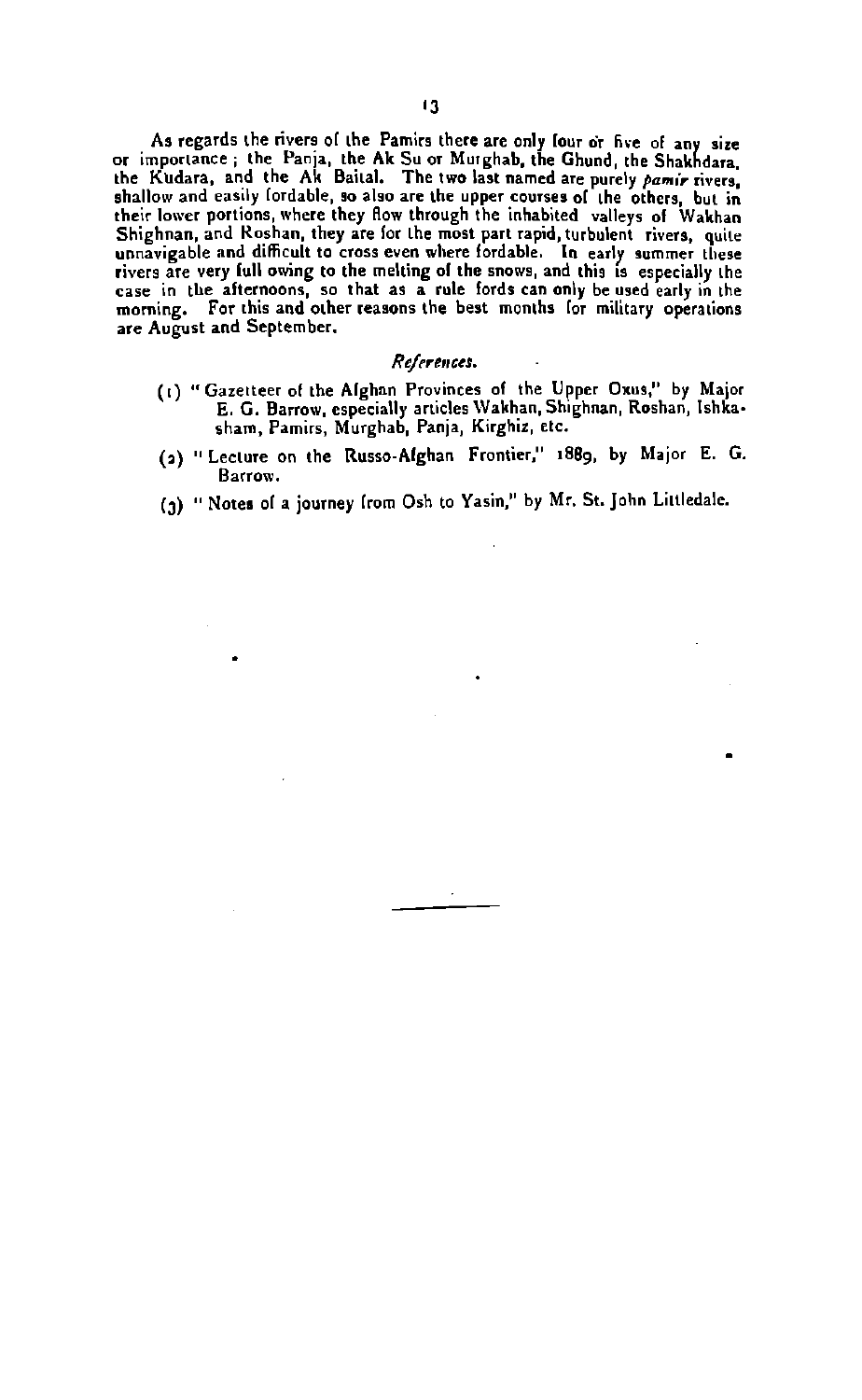As regards the rivers of the Pamirs there are only four or five of any size<br>or importance; the Panja, the Ak Su or Murghab, the Ghund, the Shakhdara, the Kudara, and the Ak Baital. The two last named are purely *pamir* rivers, that shallow and easily fordable, so also are the upper courses of the others, but in their lower portions, where they flow through the inhabited rivers are very full owing to the melting of the mows, and this **Ir** especially the **ease** in the alternoons, **so** that as a rule lords can only be used early in the morning. For this and other reasons the best months lor military operadons are August and September.

#### **Rgtjrrcnccs.** .

- (1) "Gazetteer of the Alghan Provinces of the Upper Oxus," by Major E. G. Barrow, especially articles Wakhan, Shighnan, Roshan, Ishka. sham, Pamirs, Murghab, Panja, Kirghiz, etc.
- **(a)** "Lecture on the Rusro-Afghan Frontier." **18Bg,** by **Major** E. G. Barrow.
- (3) " Notes of a journey from Osh to Yasin," by Mr. St. John Littledale.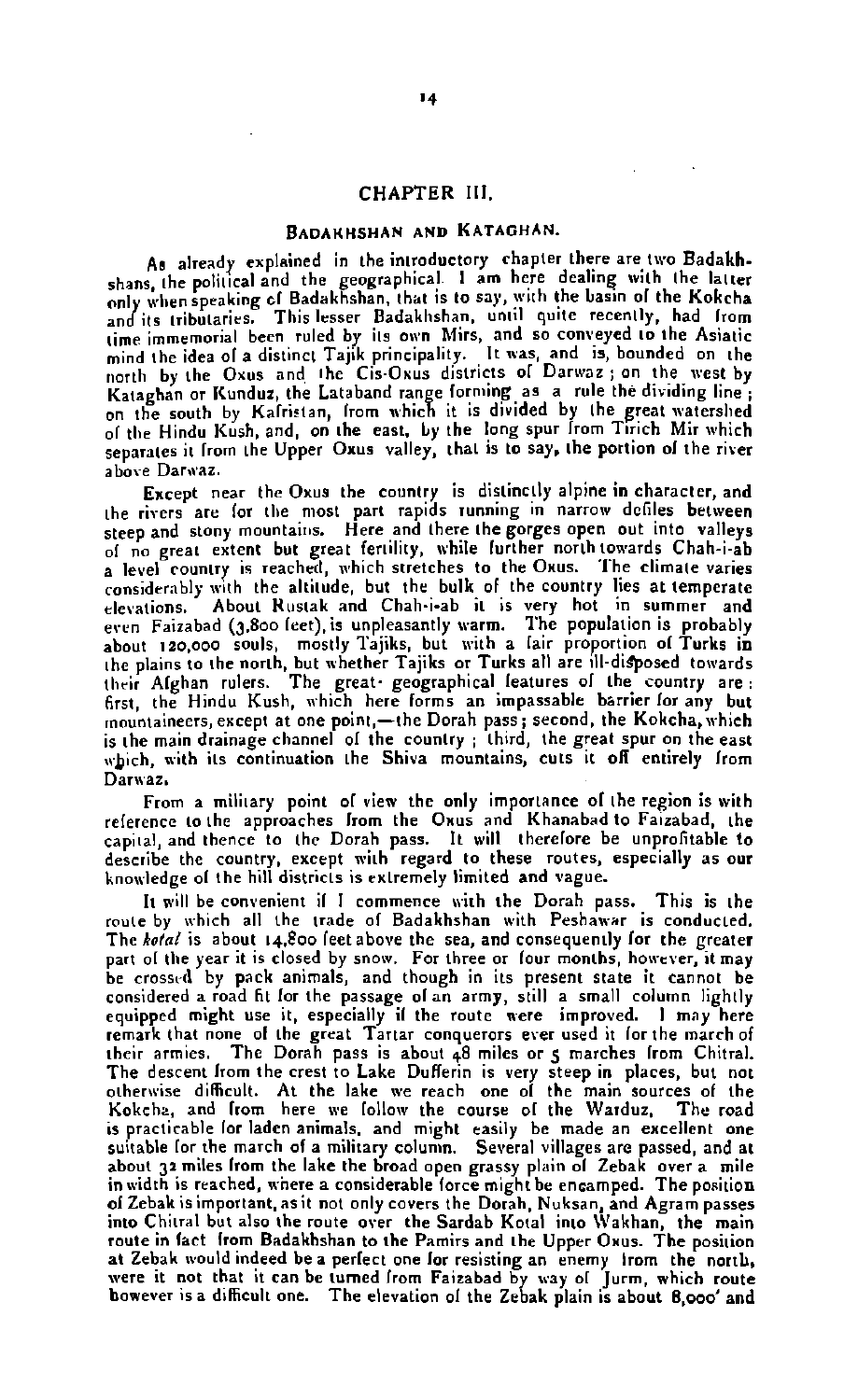#### CHAPTER Ill.

**BADAKHSHAN AND KATAGHAN.**<br>As already explained in the introductory chapter there are two Badakh. As already explained in the introductory chapter there are two Badakh-<br>shans, the political and the geographical I am here dealing with the latter only when speaking cl Badakhshan, that is to say, with the basin of the Kokcha<br>and its tributaries. This lesser Badakhshan, until quite recently, had lrom time immemorial been ruled by its **own** Mirs, and **sa** cont,eyed to the Asiatic mind the idea ol a distinct Tajik principality. It **was,** and is, bounded **on** the llorth by the Oxus and Ihe Cir.Oxus districts **ol** Danvaz ; on the ryest by Kataghan or Kunduz, the Lataband range forming as a rule the dividing line ; on the south by Kalristan, from which it is divided by the great watershed of the Hindu Kush, and, on the east, by the long spur from Trich Mir which separates it from the Upper Oxus valley, that is to say, the portion of the river above Darwaz.

Except near the Oxus the country is distinc!ly alpine in character, and the rivers **are** lor the most part rapids running **In** narrow defiler between steep and stony mountains. Here and there the gorges open out into valleys 01 **no** great extent but great fertility, while further northtowards Chah-i-ab **a** level country i5 reached, n,hich srretcher to the Oxus. 'The climale varies considerably with the altitude, but the bulk of the country lies at temperate<br>elevations. About Rustak and Chah-i-ab it is very hot in summer and About Rustak and Chah-i-ab it is very hot in summer and even Faizabad (3,800 feet), is unpleasantly warm. The population is probably about 120,000 souls, mostly Tajiks, but with a fair proportion of Turks in<br>the plains to the north, but whether Tajiks or Turks all are ill-disposed towards<br>their Afghan rulers. The great-geographical features of the count first, the Hindu Kush, which here forms an impassable barrier for any but mountaineers, except at one point,—the Dorah pass; second, the Kokcha, which<br>is the main drainage channel of the country; third, the great spur on the east which, with its continuation the Shiva mountains, cuts it off entirely from Darwaz.

From a military point ol view the only importance **01** the region is with relerence to the approaches lrom the Oxus and Khanabad to Faizabad, the capital, and thence to the Dorah pass. It will therefore be unprofitable to dercride the country, except with regard to these routes, especially **as** our knowledge ol the hill districts is extremely limited and vague.

It will be convenient if I commence with the Dorah pass. This is the route by which all the trade ol Badakhshan with Perhawar is conducted. The **kotal** is about 14.800 feet above the sea, and consequently for the greater part of the year it is closed by snow. For three or four months, however, it may<br>be crossed by pack animals, and though in its present state it cannot be considered a road fit lor the passage olan army, still a small column lightly considered a road ht lor the passage of an army, still a small column lightly<br>equipped might use it, especially if the route were improved. I may here<br>remark that none of the great Tartar conquerors ever used it for the ma their armies. The Dorah pass is about 48 miles or 5 marches from Chitral. The descent lrom the crest to Lake Duflerin is very steep in placer, but not othenrire difficult. At the lake **we** reach **one** ol the main sources of the Kakchz, and lrom here **we** lollow the course 01 the Warduz. The road is practicable lor laden animals, and might easily be made an excellent **one**  suitable lor the march of a military colunm. Several villages are passed, and at about 32 miles from the lake the broad open grassy plain of Zebak over a mile in width is reached, where a considerable lorce might be encamped. The position of Zebak is important, as it not only covers the Dorah, Nuksan, and Agram passes<br>into Chiral but also the route over the Sardab Kotal into Wakhan, the main<br>route in fact from Badakhshan to the Pamirs and the Upper Oxus. Th at Zebak would indeed be a perlect **one** lor resisting **an** enemy lrom the north were it not that it can be turned from Faizabad by way of Jurm, which route<br>however is a difficult one. The elevation of the Zebak plain is about 8,000' and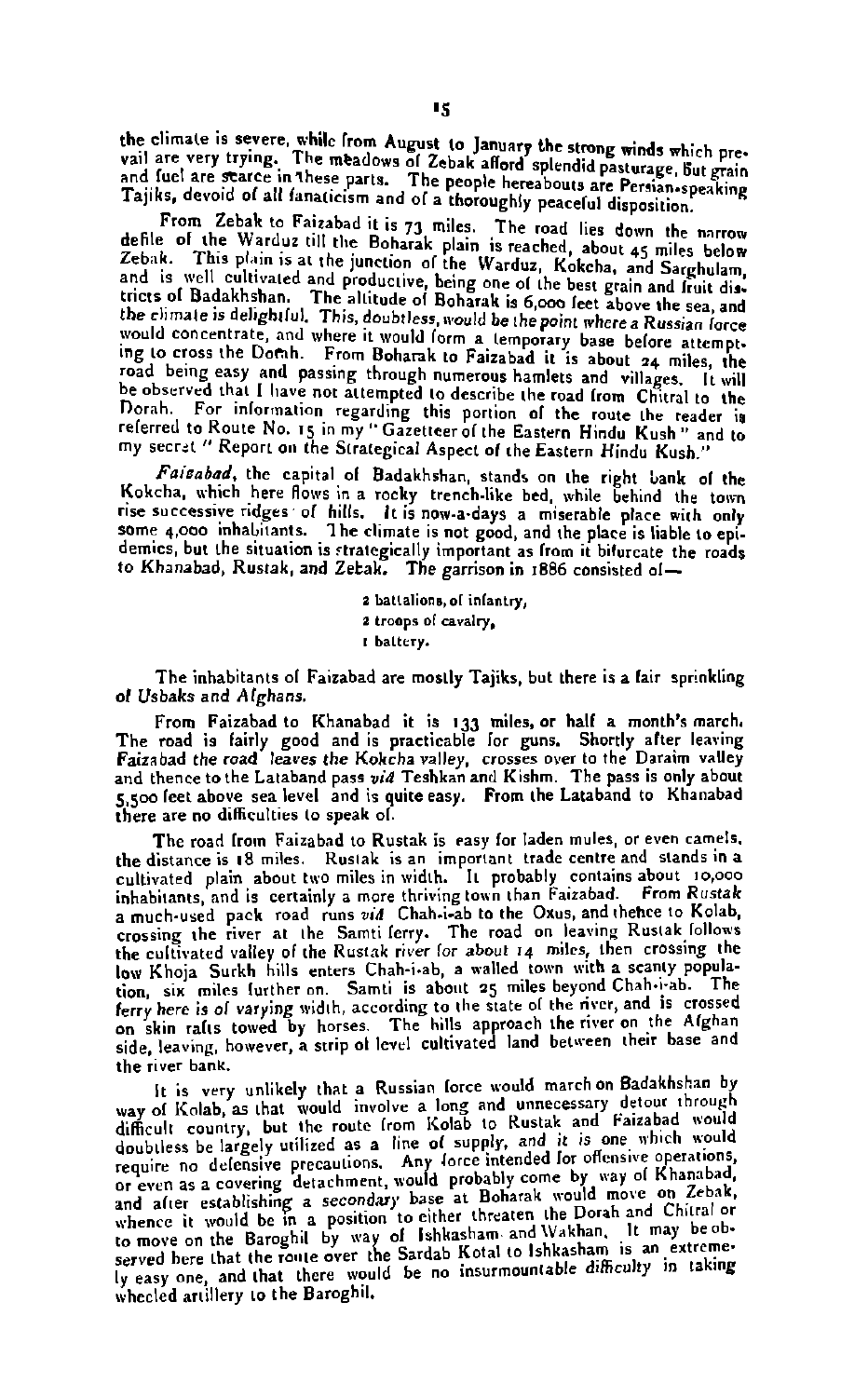the climate is severe, while from August to January the strong winds which pre-<br>vail are very trying. The meadows of Zebak afford splendid pasturage, but grain and fuel are starce in these parts. The people hereabouts are Persian.speaking Tajiks, devoid of all fanaticism and of a thoroughly peaceful disposition.

From Zebak to Faizabad it is 73 miles. The road lies down the narrow defile of the Warduz till the Boharak plain is reached, about 45 miles below Zebak. This plain is at the junction of the Warduz, Kokcha, and Sarghulam, and is well cultivated and productive, being one of the best grain and fruit districts of Badakhshan. The altitude of Boharak is 6,000 feet above the sea, and<br>the climate is delightful. This, doubtless, would be the point rrherea **Rurrian force** would concentrate, and where it would form a temporary base before attempting to cross the Dotah. From Boharak to Faizabad it is about 24 miles, the road being easy and passing through numerous hamlets and villages. It will be observed that I have not attempted to describe the road from Chitral to the norah. For inlormatian rrgardlng this portion of the route the reader ia referred to Route No. **15** in my "Gazetleerolthe Eastern Hindu Kurh" and to my srcrat " Report **an** the Strategical Aspect of the Eastern Hindu Kurh."

Faisabad, the capital of Badakhshan, stands on the right bank of the Kokcha, which here flows in a rocky trench-like bed, while behind the town rise successive ridges of hills. It is now-a-days a miserable place with only demics, but the situation is strategically important as from it bifurcate the roads<br>to Khanabad, Rustak, and Zetak. The garrison in 1886 consisted of—

> **a** ballalions,of infantry, **2** troops of cavalry. **I** baltrry.

The inhabitants of Faizabad are mostly Tajiks, but there is a fair sprinkling of Usbaks and Alghans.

From Faizabad to Khanabad it is 133 miles, or hall a month's march. The road is fairly good and is practicable lor guns. Shortly alter leaving Faizabad the road leaves the Kokcha valley, crosses over to the Daraim valley and thence to the Lataband pars **wid** Teshkan and Kirhm. The pass is only about 5,500 feet above sea level and is quite easy. From the Lataband to Khanabad there are **no** difficulties to speak 01.

The road from Faizabad to Rustak is easy for laden mules, or even camels. the distance is 18 miles. Rustak is an important trade centre and stands in a cultivated plain about two miles in width. It probably contains about lo,oao inhabitants and is certainly a mare thriving town than Faizabad. From **Rustak**  a much-used pack road runs *vid* Chah-i-ab to the Oxus, and thehce to Kolab,<br>crossing the river at the Samti lerry. The road on leaving Rustak follows the cultivated valley 01 the Rvstak river for about **rq** milcs, teen crossing the low Khoja Surkh hills enters Chah-i-ab, a walled town with a scanty population, six miles further on. Samti is about 25 miles beyond Chah-i-ab. The ferry here is of varying width, according to the state of the river, and is crossed **on skin ralts towed by horses.** The hills approach the river on the Afghan side, leaving, however, a strip of level cultivated land between their base and the river bank.

It is very unlikely that a Russian force would march on Badakhshan by way of Kolab, as that would involve a long and unnecessary detour through difficult country, but the route from Kolab to Rustak and Faizabad would doubtless be largely **as** a line or supply and it **1s one** sh'ch 'rould require no defensive precautions. Any force intended for offensive operations,<br>or even as a covering detachment, would probably come by way of Khanabad, or even as a covering detachment, would probably come by way of Knanabou, and alter establishing a secondary base at Boharak would move on Zebak, whence it would be in a position to either threaten the Dorah and Chitral or ly easy one, and that there would be no insurmountable difficulty in taking whecled artillery to the Baroghil.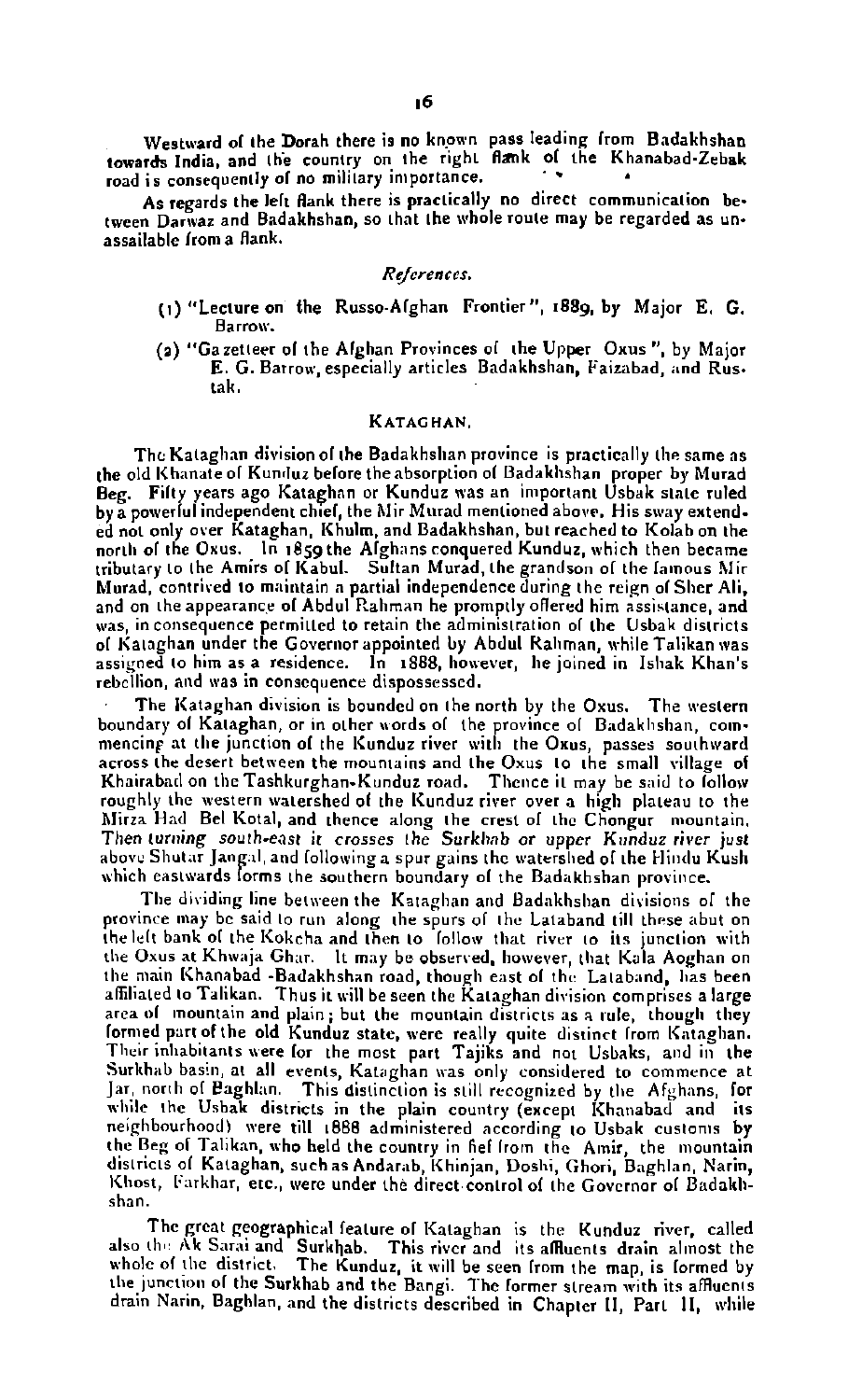tween Darwaz and Badakhshan, so that the whole route may be regarded as unassailable lroma flank.

#### $References.$

- (I) "Lecture on the Rusro.Alghan Frontier", 1889, by Major E. G. **Barrow.**
- **(1)** "Gazetteer ol the Alghan Provinces 01 the Upper **Oxus",** by Major E. **G.** Barrow, especially articles Badakhshan, Pairabad, and Rus. tak.

#### KATAGHAN.

The Kataghan division of the Badakhshan province is practically the same as the old Khanate of Kunduz before the absorption of Badakhshan proper by Murad<br>Beg. Fifty years ago Kataghan or Kunduz was an important Usbak state ruled by a powerful independent chief, the Mir Murad mentioned above. His sway extended not only **mer** Kataghan. Khulm, and Badakhshan, but reached to Kolahon the north of the Oxus. In 1859 the Afghans conquered Kunduz, which then became tributary to the Amirs of Kabul. Sultan Murad, the grandson of the famous Mir Murad, contrived to maintain a partial independence during the reign of Sher Ali, and on the appearance of Abdul Rahman he promptly offered him assistance, and was, in consequence permitted to retain the administration of the Usbak districts of Kataghan under the Governor appointed by Abdul Rahman, while Talikan was assigned to him as a residence. In 1888, however, he joined in Ishak Khan's rebellion, and was in consequence dispossessed.

The Kataghan division is bounded on the north by the Oxus. The western boundary of Kataghan, or in other words of the province of Badaklishan, commencing at the junction of the Kunduz river with the Oxus, passes southward across the desert between the mountains and the **Oxus** to the small village of Khairabad on the Tashkurghan-Kunduz road. Thence it may be said to follow roughly the western watershed of the Kunduz river over a high plateau to the hlirza Had Eel Kotal, and thence along the crest **01** the Chongur mountain. Then turning south-east it crosses the Svrklrnb or upper Kunduz river just above Shutar Jangal, and following a spur gains the watershed of the Hindu Kush which eastwards forms the southern boundary of the Badakhshan province.

The dividing line between the Kataghan and Badakhshan divisions of the province may be said to run along the spurs of the Lataband till these abut on the left bank of the Kokcha and then to follow that river to its junction with the Oxus at Khwaja Ghar. It may be observed, however, that Kala Aoghan on the main Khanabad -Badakhshan road, though east of the Lataband, has been affiliated to Talikan. Thus it will be seen the Kataghan division comprises a large<br>area of mountain and plain; but the mountain districts as a rule, though they formed part of the old Kunduz state, were really quite distinct from Kataghan. Their inhabitants were for the most part Tajiks and not Usbaks, and in the Surkhab basin, at all events. Kataghan was only considered to commence at Jar. north of Baghlan. This distinction is still recognized by the Afghans, for while the Usbak districts in the plain country (except Khanabad and its \vllile the Urbak districts in the plain country (except [(hanabad and its neighbourhood) were till 1888 administered .according **lo** Urbak curlonla by the Beg of Talikan, who held the country in hel lrom the Amir, the mountain districts of Kataghan, such as Andarab, Khinjan, Doshi, Ghori, Baghlan, Narin, Khost, Farkhar, etc., were under the direct control of the Governor of Badakhshan.

The great geographical feature of Kataghan is the Kunduz river, called also the Ak Sarai and "Surkhab. "This river and its affluents drain almost the<br>whole of the district. "The Kunduz, it will be seen from the map, is formed by<br>the junction of the Surkhab and the Bangi. The former stream wit the junction of the Surkhab and the Bangi. The former stream with its affluents drain Narin, Baghlan, and the districts described in Chapter II, Part 11, while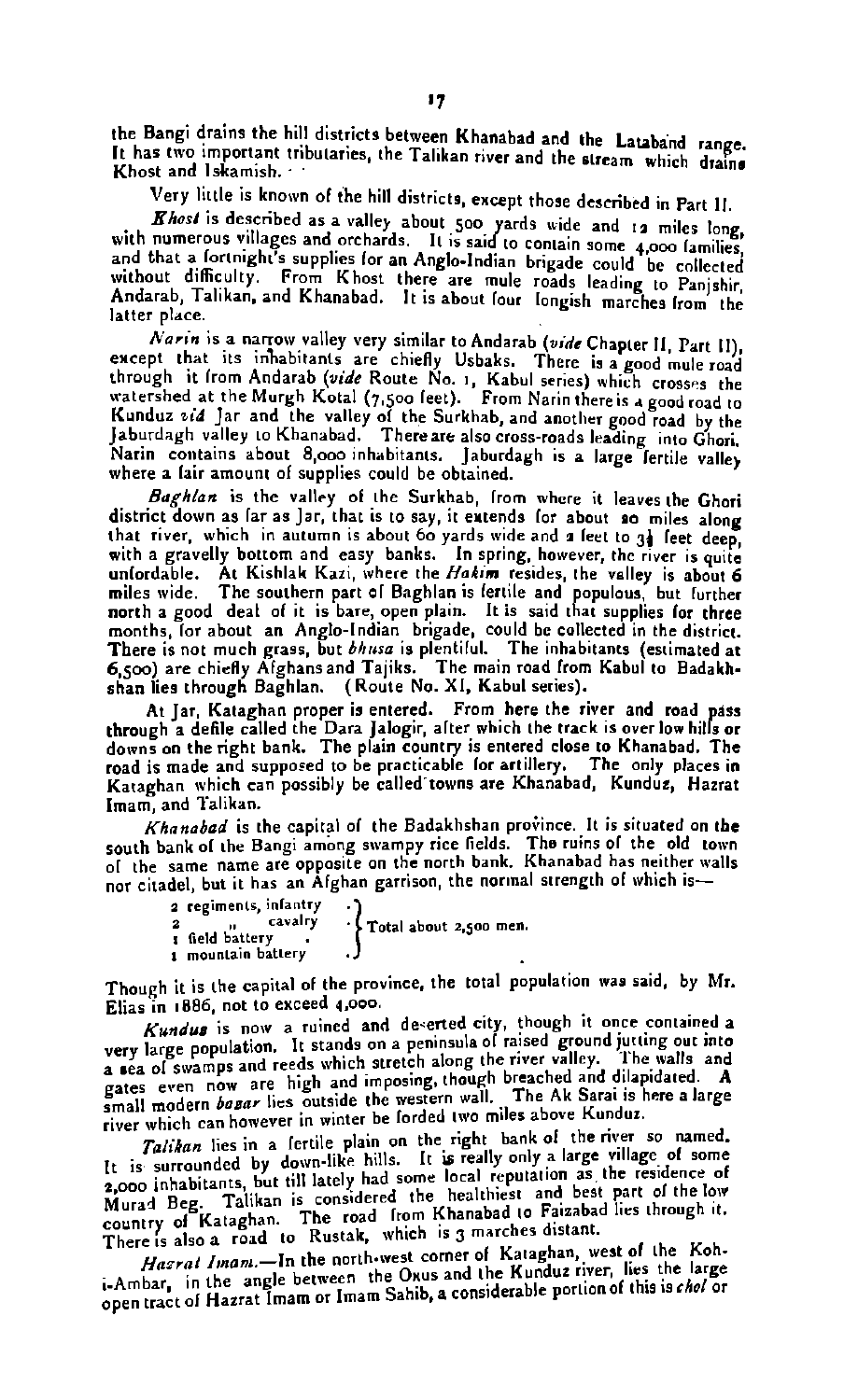the Bangi drains the hill districts between Khanabad and the Lataband range. 11 has two important tributaries, the Talikan river and the stream which drains Khost and Iskamish..

Very little is known 01 the hill districts, except those described in Part I!.

*Ehost* is described as a valley about 500 yards wide and 19 miles long with numerous villages and orchards. It is said to contain some **4,000** lamilies, and that a lortnight's supplies for an Anglo-Indian brigade could be collected without difficulty. From Khost there **are** mule roads leading to Panjrhir

And a new terms of the Chanabad. It is a part of the Chanabad. It is a narrow valley very similar to Andarab *(vide Chapter 11, Part 11)*, except that its inhabitants are chiefly Usbaks. There is a good mule road watershed at the Murath (wide Route No. 1, Kabul series) which cross-s the waters is the starting of the starting of the starting of the starting of Kunduz *%id* Jar and the valley **ol** the Surkhab, and another good road by the Islandagh valley to Khanabad. There are also cross-roads leading into Ghori. Narin contains about 8,000 inhabitants. Jaburdagh is a large lertile valley<br>where a lair amount of supplies could be obtained.

Baghlan is the valley of the Surkhab, from where it leaves the Ghori district down as lar as Jar, that is to say, it eutends lor about so miles along that river, which in autumn is about 60 yards wide and a feet to 31 feet deep. with a gravelly bottom and easy banks. In spring, however, the river is quite<br>unfordable. At Kishlak Kazi, where the Hakim resides, the valley is about 6<br>miles wide. The southern part of Baghlan is fertile and populous, bu months, for about an Anglo-Indian brigade, could be collected in the district. There is not much grass, but *bhissa* is plentiful. The inhabitants (estimated at 6.500) are chiefly Afghans and Tailks. The main road from Kabul to Badakhshan lies through Baghlan. (Route No. XI, Kabul series).

At Iar. Kataghan proper is entered. From here the river and road pass hrough a defile called the Dara Jalogir, alter which the track is over low hills or<br>lowns on the right bank. The plain country is entered close to Khanabad. The road is made and supposed to be practicable lor artillery. The only places in Kataghan which **can** possibly be called towns are Khanabad, Kundur, Hazrat Imam, and Talikan.<br>Khanabad is the capital of the Badakhshan province. It is situated on the

*Khanabad* is the capital of the Badakhshan province. It is situated on the<br>jouth bank of the Bangi among swampy rice fields. The ruins of the old town<br>of the same name are opposite on the north bank. Khanabad has neither

|                                                                           | or citadel, but it has an Afghan garrison, the normal strength of which is- |
|---------------------------------------------------------------------------|-----------------------------------------------------------------------------|
| 2 regiments, infantry<br>cavalry<br>r field battery<br>1 mountain battery | ' Total about 2,500 men.                                                    |

Though it is the capital of the province, the total population was said, by Mr.

Elias in 1886, not to exceed 4,000.<br>Kundus is now a ruined and deserted city, though it once contained a Elias in 1880, for the excess who are detected city, though it once contained a<br>every large population. It stands on a peninsula of raised ground jutting out into<br>a sea of swamps and reeds which stretch along the river va gates even now are high and imposing, though breached and dilapidated. A small madern **hsnr** lies the western wall. The Ak **Sarai** is here a large river which can however in winter be forded two miles above Kunduz.

*Taliha=* lies in **a** lertile plain **on** the right bank 01 the **river** so named. It is surrounded by down-like hills. It is really only a large village of some 2,000 inhabitants, but till lately had some local reputation as the residence of It is surrounded by down-like huis. It is really only a way. When  $\rho_{\text{p}}$  is the residence of the negotial state of the 101  $\rho_{\text{p}}$ . Tailkan is considered the healthiest and best part of the low<br>Murad Deg. Tailkan i There is also a road to Rustak, which is 3 marches distant.

Hasrat Iman.,-In the north-west corner of Kataghan, west of the Kohi-Ambar, in the angle between the Oxus and the Kunduz river, lies the large open tract of Hazrat Imam or Imam Sahib, a considerable portion of this is *chol* or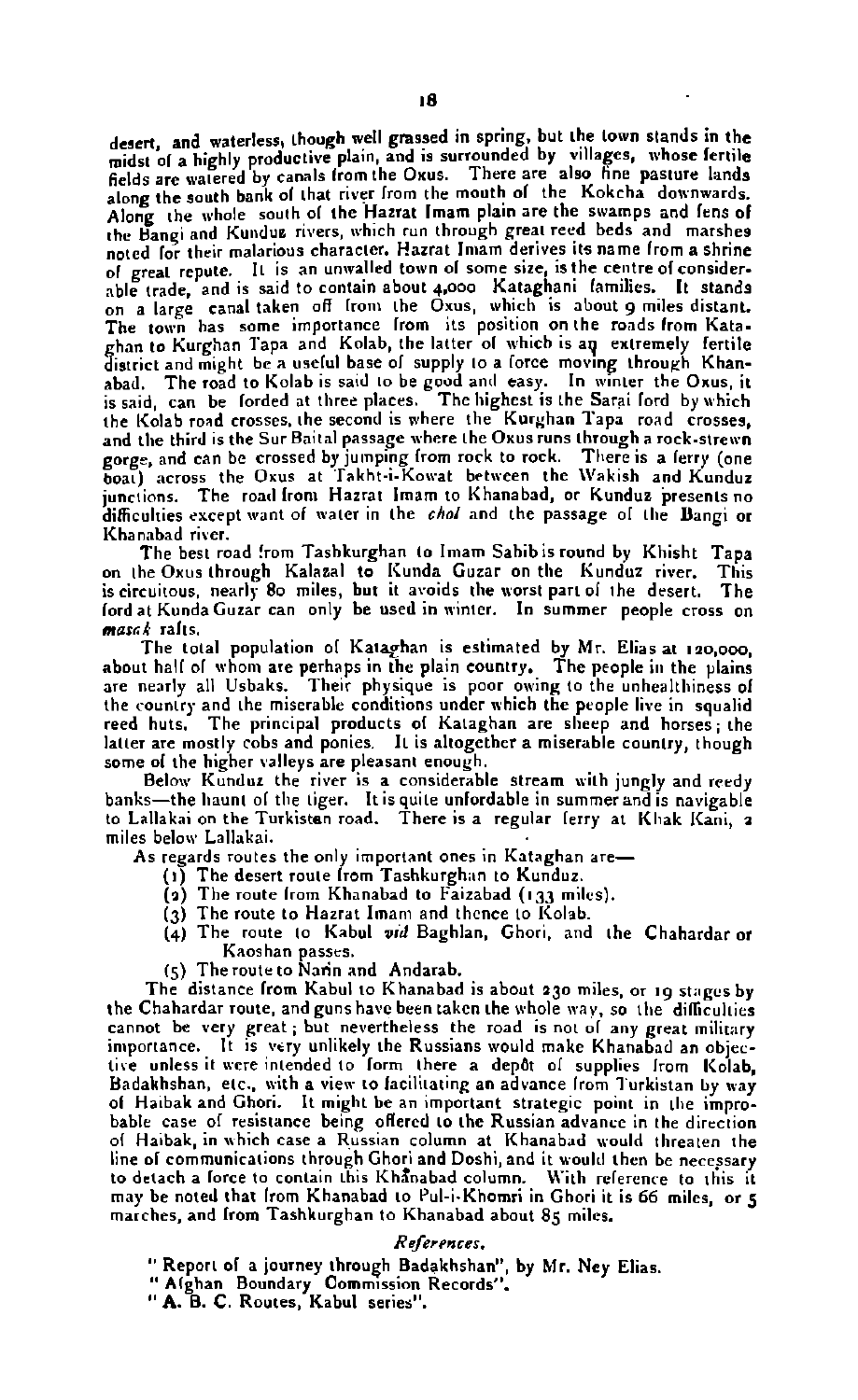desert. and waterless, though well grassed in spring, but the town stands in the uesent, and watercool times. We have a highly productive plain, and is surrounded by villages, whose fertile helde **are** ,,,atered by canals lrom the Oxus. Thrrc **are** also **tine** pasture lands along the south bank of that river from the mouth of the Kokcha downwards. along the whole south of the Hazrat Imam plain are the swamps and fens of the Bangi and Kundus rivers, which run through great reed beds and marshes ing care. Their malarious character. Hazrat Imam derives its name from a shrine of great repute. It is an unwalled town of some size, is the centre of considertrade and is said to contain about **+aoa** Kataghani lamilirr. It stands **on a** canal taken **off** Irom the Oxus, which is about **g** miles distant. The town has some importance from its position on the roads from Kata. ghan to Kurghan Tapa and Kolab, the latter ol which is ap extremely fertile<br>district and might be a useful base of supply to a force moving through Khanabad. The road to Kolab is **sad** to be goad anrl easy. In winter the **Oxus,** it is said can be lorded at three places. The highest is the Sarai lord by which the Kolab road crosses, the second is where the Kurghan Tapa road crosses. and the third is the **Sur** Baital passage where the Oxus runs through a rack.strewn gorge, and can be crossed by jumping from rock to rock. There is a ferry (one<br>boat) across the Oxus at Takht-i-Kowat between the Wakish and Kunduz junctions. The road from Hazrat Imam to Khanabad, or Kunduz presents no difficulties except want of water in the *chol* and the passage of the Bangi or . Khanabad river.

ncon .......<br>The best road from Tashkurghan to Imam Sahib is round by Khisht Tapa<br>he Oxus through Kalazal to Kunda Guzar on the Kunduz river. This on the Oxus through Kalazal to Kunda Guzar on the Kunduz river. This<br>is circuitous, nearly 80 miles, but it avoids the worst part of the desert. The is circuitous, nearly 80 miles, but it avoids the worst part of the desert. lord at Kunda Guzar can only be used in winter. In summer people cross on *mmc4* ralts.

The total population of Kataghan is estimated by Mr. Elias at 120,000. about hall al whom **are** perhaps in the plain country. The prople in the plains **are** nearly all Urbaks. Their physique is poor owing to the unhealthiness ol the country and the miserable conditions under which the people live **in** squalid reed huts. The principal products of Kataghan are sheep and horses: the latter are mostly cobs and ponies. It is altogether a miserable country, though some of the higher valleys are pleasant enough.

Below Kunduz the river is a considerable stream with jungly and reedy banks—the haunt of the tiger. It is quite unfordable in summer and is navigable<br>to Lallakai on the Turkist**e**n road. There is a regular ferry at Khak Kani, **2** miles below Lallakai.

As regards routes the only important ones in Kataghan are-

- (I) The desert route lorn Tashkurghan to Kunduz.
- (a) The route lrom Khanabad to Faizabad (133 miles).
- $(3)$  The route to Hazrat Imam and thence to Kolab.
- **(4)** The route la Kabul **vtd** Baghlan, Ghori, and the Chahardar or Kaoshan passes.
- **(5)** The route to **Narin** and Andarab.

The distance from Kabul to Khanabad is about 230 miles, or 19 stages by the Chahardar route, and guns have been taken the whole way, so the difficulties cannot be very great; but nevertheless the road is not of any great military<br>importance. It is very unlikely the Russians would make Khanabad an objective unless it were intended to form there a depot of supplies from Kolab. Badakhshan, etc., with a view to lacilitating an advance from Turkistan by way of Haibak and Ghori. It might be an important strategic point in the improbable case of resistance being offered to the Russian advance in the direction of Haibak, in which case a Russian column at Khanabad would threaten the line ol communications through Ghori and Dorhi, and it would then be necessary to detach a force to contain this Khanabad column. With reference to this it may be noted that lrom Khanabad to Pul-i.Khomri in Ghori it is 66 miles, **or 5** marcher, and lrom Tashkurghan to Khanabad about 85 miles.

#### **Rejer~ncer.**

- "Report of a journey through Badakhshan", by Mr. Ney Elias.
- " Alghan Boundary Commission Records".
- "A. **8.** C. Routes, Kabul series".